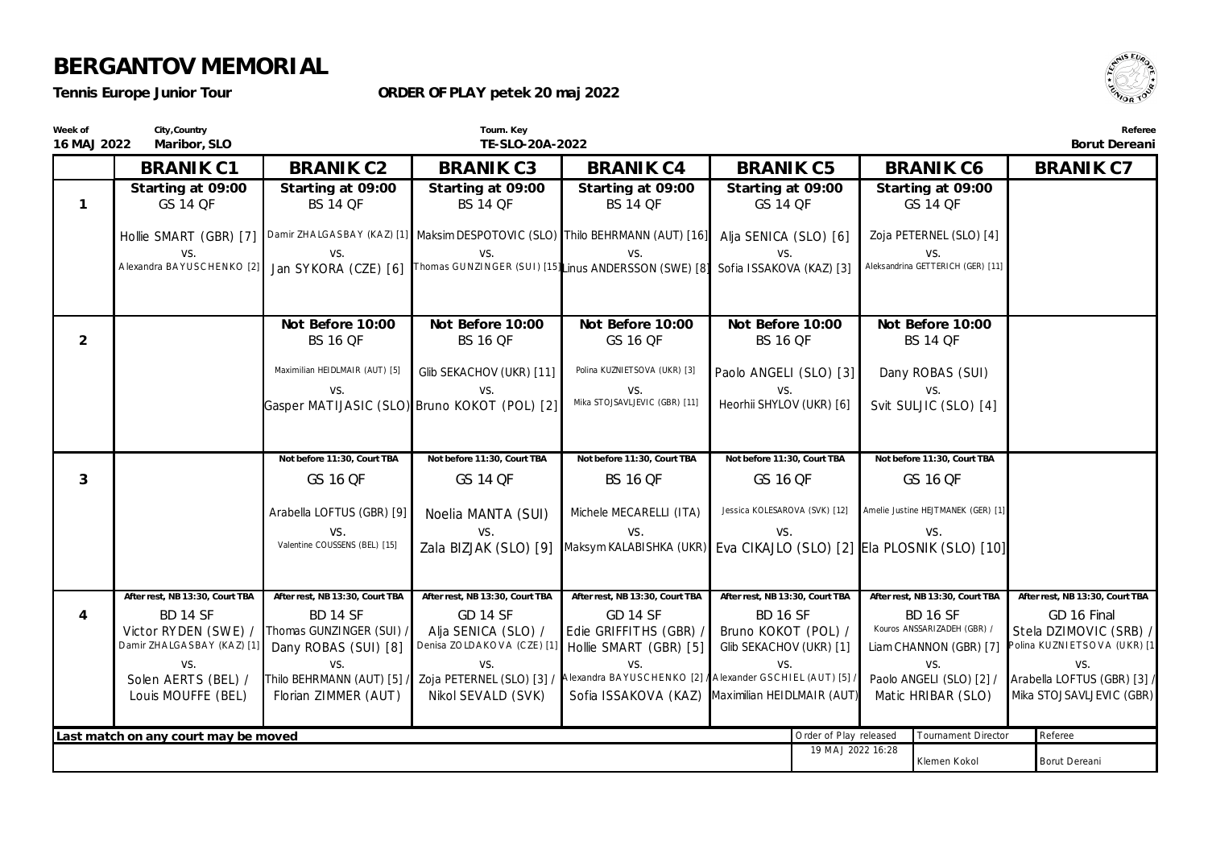*Tennis Europe Junior Tour*

**ORDER OF PLAY petek 20 maj 2022**



Klemen Kokol Borut Dereani

**Week of 16 MAJ 2022 City,Country Maribor, SLO Tourn. Key TE-SLO-20A-2022 Referee Borut Dereani BRANIK C1 Starting at 09:00** *GS 14 QF* Hollie SMART (GBR) [7] Damir ZHA LGA SBA Y (KA Z) [1] Maksim DESPOTOVIC (SLO) Thilo BEHRMANN (AUT) [16] vs. A lexandra BA YUSC HENKO [2] **BRANIK C2 Starting at 09:00** *BS 14 QF* vs. Jan SYKORA (CZE) [6] **BRANIK C3 Starting at 09:00** *BS 14 QF* vs. Thomas GUNZINGER (SUI) [15] Linus ANDERSSON (SWE) [8] **BRANIK C4 Starting at 09:00** *BS 14 QF* vs. **BRANIK C5 Starting at 09:00** *GS 14 QF* Alia SENICA (SLO) [6] vs. Sofia ISSAKOVA (KAZ) [3] **BRANIK C6 Starting at 09:00** *GS 14 QF* Zoja PETERNEL (SLO) [4] vs. Aleksandrina GETTERICH (GER) [11] **BRANIK C7 1 Not Before 10:00** *BS 16 QF* Maximilian HEIDLMAIR (AUT) [5] vs. Gasper MATIJASIC (SLO) Bruno KOKOT (POL) [2] **Not Before 10:00** *BS 16 QF* Glib SEKACHOV (UKR) [11] vs. **Not Before 10:00** *GS 16 QF* Polina KUZNIETSOVA (UKR) [3] vs. Mika STOJSAVLJEVIC (GBR) [11] **Not Before 10:00** *BS 16 QF* Paolo ANGELI (SLO) [3] vs. Heorhii SHYLOV (UKR) [6] **Not Before 10:00** *BS 14 QF* Dany ROBAS (SUI) vs. Svit SULJIC (SLO) [4] **2 Not before 11:30, Court TBA** *GS 16 QF* Arabella LOFTUS (GBR) [9] vs. Valentine COUSSENS (BEL) [15] **Not before 11:30, Court TBA** *GS 14 QF* Noelia MANTA (SUI) vs. Zala BIZJAK (SLO) [9] **Not before 11:30, Court TBA** *BS 16 QF* Michele MECARELLI (ITA) vs. Maksym KALABISHKA (UKR) Eva CIKAJLO (SLO) [2] Ela PLOSNIK (SLO) [10] **Not before 11:30, Court TBA** *GS 16 QF* Jessica KOLESAROVA (SVK) [12] vs. **Not before 11:30, Court TBA** *GS 16 QF* Amelie Justine HEJTMANEK (GER) [1] vs. **3 After rest, NB 13:30, Court TBA** *BD 14 SF* Victor RYDEN (SWE) / Damir ZHA LGA SBAY (KAZ) [1] vs. Solen AERTS (BEL) / Louis MOUFFE (BEL) **After rest, NB 13:30, Court TBA** *BD 14 SF* Thomas GUNZINGER (SUI) / Dany ROBAS (SUI) [8] vs. Thilo BEHRMANN (AUT) [5] / Florian ZIMMER (AUT) **After rest, NB 13:30, Court TBA** *GD 14 SF* Alja SENICA (SLO) / Denisa ZO LDA KO V A (C ZE) [1] vs. Zoja PETERNEL (SLO) [3] / Nikol SEVALD (SVK) **After rest, NB 13:30, Court TBA** *GD 14 SF* Edie GRIFFITHS (GBR) / Hollie SMART (GBR) [5] vs. A lexandra BA YUSC HENKO [2] / Sofia ISSAKOVA (KAZ) Maximilian HEIDLMAIR (AUT) **After rest, NB 13:30, Court TBA** *BD 16 SF* Bruno KOKOT (POL) / Glib SEKACHOV (UKR) [1] vs. A lexander GSC HIEL (A UT) [5] / **After rest, NB 13:30, Court TBA** *BD 16 SF* Kouros ANSSARIZADEH (GBR) / Liam CHANNON (GBR) [7] vs. Paolo ANGELI (SLO) [2] / Matic HRIBAR (SLO) **After rest, NB 13:30, Court TBA** *GD 16 Final* Stela DZIMOVIC (SRB) / Polina KUZNIETSOVA (UKR) [1] vs. Arabella LOFTUS (GBR) [3] / Mika STOJSAVLJEVIC (GBR) **4** Last match on any court may be moved **and the example of Play released** Tournament Director Referee 19 MA J 2022 16:28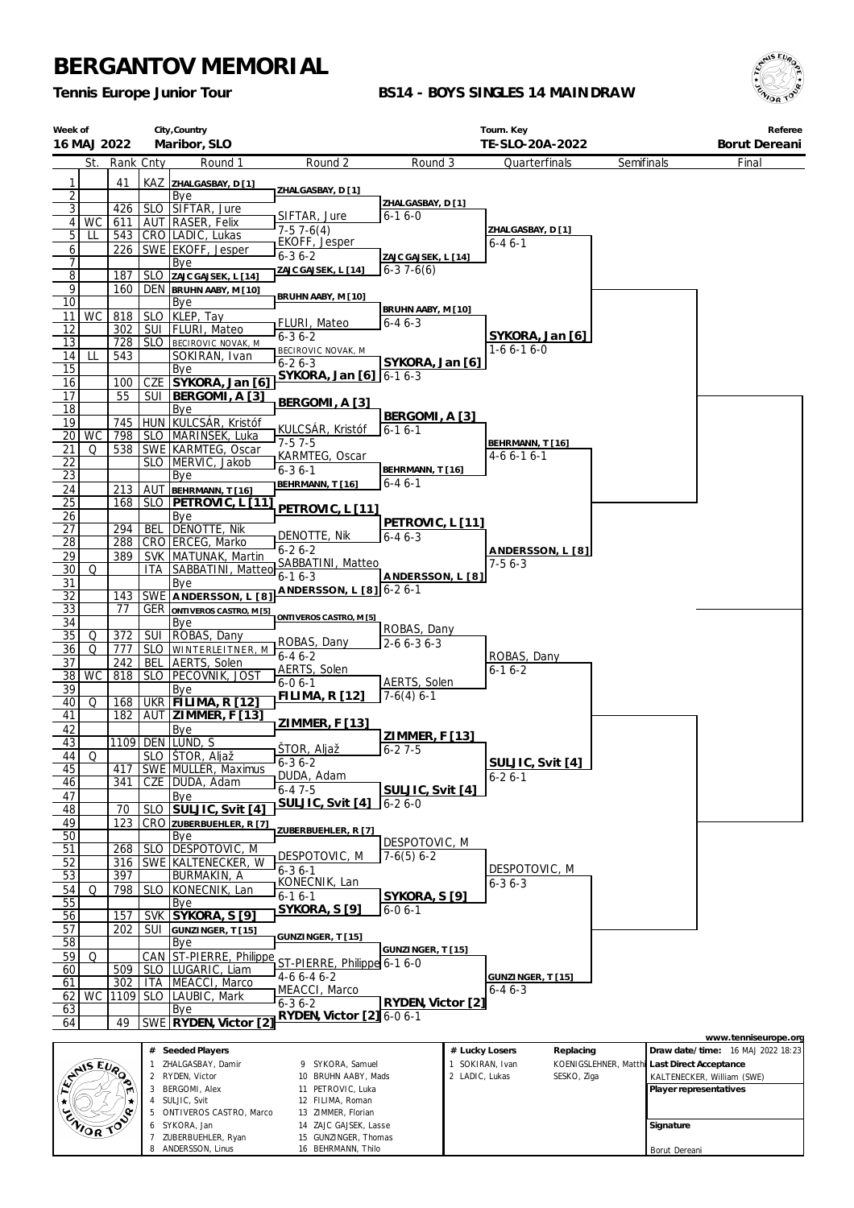8 ANDERSSON, Linus

16 BEHRMANN, Thilo

*Tennis Europe Junior Tour*

### **BS14 - BOYS SINGLES 14 MAINDRAW**



Borut Dereani

| Week of               | 16 MAJ 2022     |            |                                                                                           | City, Country<br>Maribor, SLO             |                                            |                                   |                | Tourn. Key<br>TE-SLO-20A-2022 |                       |                        | Referee<br>Borut Dereani          |
|-----------------------|-----------------|------------|-------------------------------------------------------------------------------------------|-------------------------------------------|--------------------------------------------|-----------------------------------|----------------|-------------------------------|-----------------------|------------------------|-----------------------------------|
|                       | St.             | Rank Cnty  |                                                                                           | Round 1                                   | Round 2                                    | Round 3                           |                | Quarterfinals                 | Semifinals            |                        | Final                             |
| 1                     |                 | 41         |                                                                                           | KAZ ZHALGASBAY, D[1]                      |                                            |                                   |                |                               |                       |                        |                                   |
| $\overline{2}$        |                 |            |                                                                                           | Bye                                       | ZHALGASBAY, D [1]                          |                                   |                |                               |                       |                        |                                   |
| $\overline{3}$        |                 | 426        |                                                                                           | SLO SIFTAR, Jure                          | SIFTAR, Jure                               | ZHALGASBAY, D [1]<br>$6 - 16 - 0$ |                |                               |                       |                        |                                   |
| 5 <sup>1</sup>        | 4 WC            | 611        |                                                                                           | AUT RASER, Felix                          | $7-57-6(4)$                                |                                   |                | ZHALGASBAY, D [1]             |                       |                        |                                   |
| 6                     | LL              | 543<br>226 |                                                                                           | CRO LADIC, Lukas<br>SWE EKOFF, Jesper     | EKOFF, Jesper                              |                                   |                | 6-4 6-1                       |                       |                        |                                   |
| 7                     |                 |            |                                                                                           | Bye                                       | $6 - 36 - 2$                               | ZAJC GAJSEK, L [14]               |                |                               |                       |                        |                                   |
| $\overline{8}$        |                 | 187        | <b>SLO</b>                                                                                | ZAJC GAJSEK, L [14]                       | ZAJC GAJSEK, L [14]                        | $6-37-6(6)$                       |                |                               |                       |                        |                                   |
| 9                     |                 | 160        |                                                                                           | DEN BRUHN AABY, M [10]                    | BRUHN AABY, M [10]                         |                                   |                |                               |                       |                        |                                   |
| 10                    |                 |            |                                                                                           | Bye                                       |                                            | BRUHN AABY, M [10]                |                |                               |                       |                        |                                   |
| 11<br>12              | WC              | 818<br>302 | <b>SLO</b><br>SUI                                                                         | KLEP, Tay<br><b>FLURI, Mateo</b>          | FLURI, Mateo                               | $6 - 46 - 3$                      |                |                               |                       |                        |                                   |
| 13                    |                 | 728        |                                                                                           | SLO BECIROVIC NOVAK, M                    | $6 - 36 - 2$                               |                                   |                | SYKORA, Jan [6]               |                       |                        |                                   |
| 14                    | LL              | 543        |                                                                                           | SOKIRAN, Ivan                             | BECIROVIC NOVAK, M<br>$6 - 26 - 3$         | SYKORA, Jan [6]                   |                | $1-66-16-0$                   |                       |                        |                                   |
| 15                    |                 |            |                                                                                           | Bye                                       | SYKORA, Jan [6]   6-1 6-3                  |                                   |                |                               |                       |                        |                                   |
| 16<br>17              |                 | 100<br>55  | CZE<br>SUI                                                                                | SYKORA, Jan [6]<br>BERGOMI, A [3]         |                                            |                                   |                |                               |                       |                        |                                   |
| 18                    |                 |            |                                                                                           | Bye                                       | BERGOMI, A [3]                             |                                   |                |                               |                       |                        |                                   |
| 19                    |                 | 745        |                                                                                           | HUN KULCSÁR, Kristóf                      | KULCSÁR, Kristóf                           | BERGOMI, A [3]                    |                |                               |                       |                        |                                   |
| 20                    | <b>WC</b>       | 798        |                                                                                           | SLO   MARINSEK, Luka                      | $7-57-5$                                   | $6 - 16 - 1$                      |                | BEHRMANN, T [16]              |                       |                        |                                   |
| 21                    | Q               | 538        |                                                                                           | SWE KARMTEG, Oscar                        | KARMTEG, Oscar                             |                                   |                | 4-6 6-1 6-1                   |                       |                        |                                   |
| 22<br><u>23</u>       |                 |            |                                                                                           | SLO   MERVIC, Jakob<br>Bye                | $6 - 36 - 1$                               | BEHRMANN, T [16]                  |                |                               |                       |                        |                                   |
| 24                    |                 | 213        |                                                                                           | AUT BEHRMANN, T[16]                       | BEHRMANN, T [16]                           | $6 - 46 - 1$                      |                |                               |                       |                        |                                   |
| 25                    |                 | 168        | SLO                                                                                       | PETROVIC, L [11]                          | PETROVIC, L [11]                           |                                   |                |                               |                       |                        |                                   |
| 26                    |                 |            |                                                                                           | Bye                                       |                                            | PETROVIC, L [11]                  |                |                               |                       |                        |                                   |
| $\overline{27}$       |                 | 294        | <b>BEL</b>                                                                                | Denotte, Nik                              | DENOTTE, Nik                               | $6 - 46 - 3$                      |                |                               |                       |                        |                                   |
| $\overline{28}$<br>29 |                 | 288<br>389 |                                                                                           | CRO ERCEG, Marko<br>SVK   MATUNAK, Martin | $6 - 26 - 2$                               |                                   |                | ANDERSSON, L [8]              |                       |                        |                                   |
| 30                    | Q               |            | ITA                                                                                       | SABBATINI, Matteo                         | SABBATINI, Matteo                          |                                   |                | $7-56-3$                      |                       |                        |                                   |
| $\overline{31}$       |                 |            |                                                                                           | Bye                                       | $6 - 16 - 3$                               | ANDERSSON, L [8]                  |                |                               |                       |                        |                                   |
| 32                    |                 | 143        |                                                                                           | SWE ANDERSSON, L [8]                      | ANDERSSON, L [8] 6-2 6-1                   |                                   |                |                               |                       |                        |                                   |
| 33<br>34              |                 | 77         |                                                                                           | <b>GER ONTIVEROS CASTRO, M [5]</b><br>Bye | ONTIVEROS CASTRO, M [5]                    |                                   |                |                               |                       |                        |                                   |
| 35                    | Q               | 372        | <b>SUI</b>                                                                                | ROBAS, Dany                               |                                            | ROBAS, Dany                       |                |                               |                       |                        |                                   |
| 36                    | Q               | 777        | SLO                                                                                       | WINTERLEITNER, M                          | ROBAS, Dany                                | $2 - 6 6 - 3 6 - 3$               |                |                               |                       |                        |                                   |
| 37                    |                 | 242        | BEL                                                                                       | AERTS, Solen                              | $6 - 46 - 2$<br>AERTS, Solen               |                                   |                | ROBAS, Dany<br>$6 - 16 - 2$   |                       |                        |                                   |
| 38                    | <b>WC</b>       | 818        |                                                                                           | SLO   PECOVNIK, JOST                      | $6 - 06 - 1$                               | AERTS, Solen                      |                |                               |                       |                        |                                   |
| 39<br>40              | Q               | 168        |                                                                                           | Bye<br>UKR   FILIMA, R [12]               | <b>FILIMA, R [12]</b>                      | $7-6(4)$ 6-1                      |                |                               |                       |                        |                                   |
| 41                    |                 | 182        |                                                                                           | AUT ZIMMER, F [13]                        |                                            |                                   |                |                               |                       |                        |                                   |
| 42                    |                 |            |                                                                                           | Bye                                       | ZIMMER, F [13]                             | ZIMMER, F [13]                    |                |                               |                       |                        |                                   |
| 43                    |                 | 1109       |                                                                                           | DEN LUND, S                               | STOR, Aljaž                                | $6 - 27 - 5$                      |                |                               |                       |                        |                                   |
| 44<br>45              | Q               | 417        |                                                                                           | SLO   ŠTOR, Aljaž<br>SWE MULLER, Maximus  | $6 - 36 - 2$                               |                                   |                | SULJIC, Svit [4]              |                       |                        |                                   |
| 46                    |                 | 341        |                                                                                           | CZE   DUDA, Adam                          | DUDA, Adam                                 |                                   |                | $6 - 26 - 1$                  |                       |                        |                                   |
| 47                    |                 |            |                                                                                           | Bye                                       | $6 - 47 - 5$                               | SULJIC, Svit [4]                  |                |                               |                       |                        |                                   |
| 48                    |                 | 70         | <b>SLO</b>                                                                                | SULJIC, Svit [4]                          | SULJIC, Svit [4]                           | $6 - 26 - 0$                      |                |                               |                       |                        |                                   |
| 49                    |                 | 123        |                                                                                           | CRO ZUBERBUEHLER, R [7]                   | ZUBERBUEHLER, R [7]                        |                                   |                |                               |                       |                        |                                   |
| 50<br>51              |                 | 268        | <b>SLO</b>                                                                                | Bye<br>DESPOTOVIC, M                      |                                            | DESPOTOVIC, M                     |                |                               |                       |                        |                                   |
| 52                    |                 | 316        |                                                                                           | SWE KALTENECKER, W                        | DESPOTOVIC, M                              | $7-6(5)$ 6-2                      |                |                               |                       |                        |                                   |
| 53                    |                 | 397        |                                                                                           | BURMAKIN, A                               | $6 - 36 - 1$<br>KONECNIK, Lan              |                                   |                | DESPOTOVIC, M                 |                       |                        |                                   |
| 54                    | Q               | 798        | <b>SLO</b>                                                                                | KONECNIK, Lan                             | $6 - 16 - 1$                               | SYKORA, S[9]                      |                | 6-36-3                        |                       |                        |                                   |
| 55                    |                 |            |                                                                                           | Bye                                       | <u>SYKORA, S [9]</u>                       | $6 - 06 - 1$                      |                |                               |                       |                        |                                   |
| 56<br>57              |                 | 157<br>202 | <b>SVK</b><br>SUI                                                                         | SYKORA, S [9]<br>GUNZINGER, T [15]        |                                            |                                   |                |                               |                       |                        |                                   |
| 58                    |                 |            |                                                                                           | Bye                                       | GUNZINGER, T [15]                          |                                   |                |                               |                       |                        |                                   |
| 59                    | Q               |            | CAN                                                                                       | ST-PIERRE, Philippe                       |                                            | GUNZINGER, T[15]                  |                |                               |                       |                        |                                   |
| 60                    |                 | 509        |                                                                                           | SLO LUGARIC, Liam                         | ST-PIERRE, Philippe 6-1 6-0<br>$4-66-46-2$ |                                   |                | GUNZINGER, T [15]             |                       |                        |                                   |
| 61                    |                 | 302        | <b>ITA</b>                                                                                | MEACCI, Marco                             | MEACCI, Marco                              |                                   |                | $6 - 46 - 3$                  |                       |                        |                                   |
| 62 I<br>63            | <b>WC</b>       |            | 1109 SLO                                                                                  | LAUBIC, Mark<br>Bye                       | $6 - 36 - 2$                               | RYDEN, Victor [2]                 |                |                               |                       |                        |                                   |
| 64                    |                 | 49         | <b>SWE</b>                                                                                | RYDEN, Victor [2]                         | RYDEN, Victor [2] 6-0 6-1                  |                                   |                |                               |                       |                        |                                   |
|                       |                 |            |                                                                                           |                                           |                                            |                                   |                |                               |                       |                        | www.tenniseurope.org              |
|                       |                 |            |                                                                                           | # Seeded Players                          |                                            |                                   | # Lucky Losers | Replacing                     |                       |                        | Draw date/time: 16 MAJ 2022 18:23 |
|                       | AMISEURO        |            |                                                                                           | ZHALGASBAY, Damir<br>2 RYDEN, Victor      | 9 SYKORA, Samuel<br>10 BRUHN AABY, Mads    |                                   | 2 LADIC, Lukas | SOKIRAN, Ivan                 | KOENIGSLEHNER, Matthi | Last Direct Acceptance |                                   |
|                       |                 |            | 3                                                                                         | <b>BERGOMI, Alex</b>                      | 11 PETROVIC, Luka                          |                                   |                | SESKO, Ziga                   |                       | Player representatives | KALTENECKER, William (SWE)        |
|                       |                 |            | 4                                                                                         | SULJIC, Svit                              | 12 FILIMA, Roman                           |                                   |                |                               |                       |                        |                                   |
|                       |                 |            |                                                                                           | 5 ONTIVEROS CASTRO, Marco                 | 13 ZIMMER, Florian                         |                                   |                |                               |                       |                        |                                   |
|                       | <b>ENIOR TO</b> |            | SYKORA, Jan<br>14 ZAJC GAJSEK, Lasse<br>6<br>7 ZUBERBUEHLER, Ryan<br>15 GUNZINGER, Thomas |                                           |                                            |                                   |                |                               |                       | Signature              |                                   |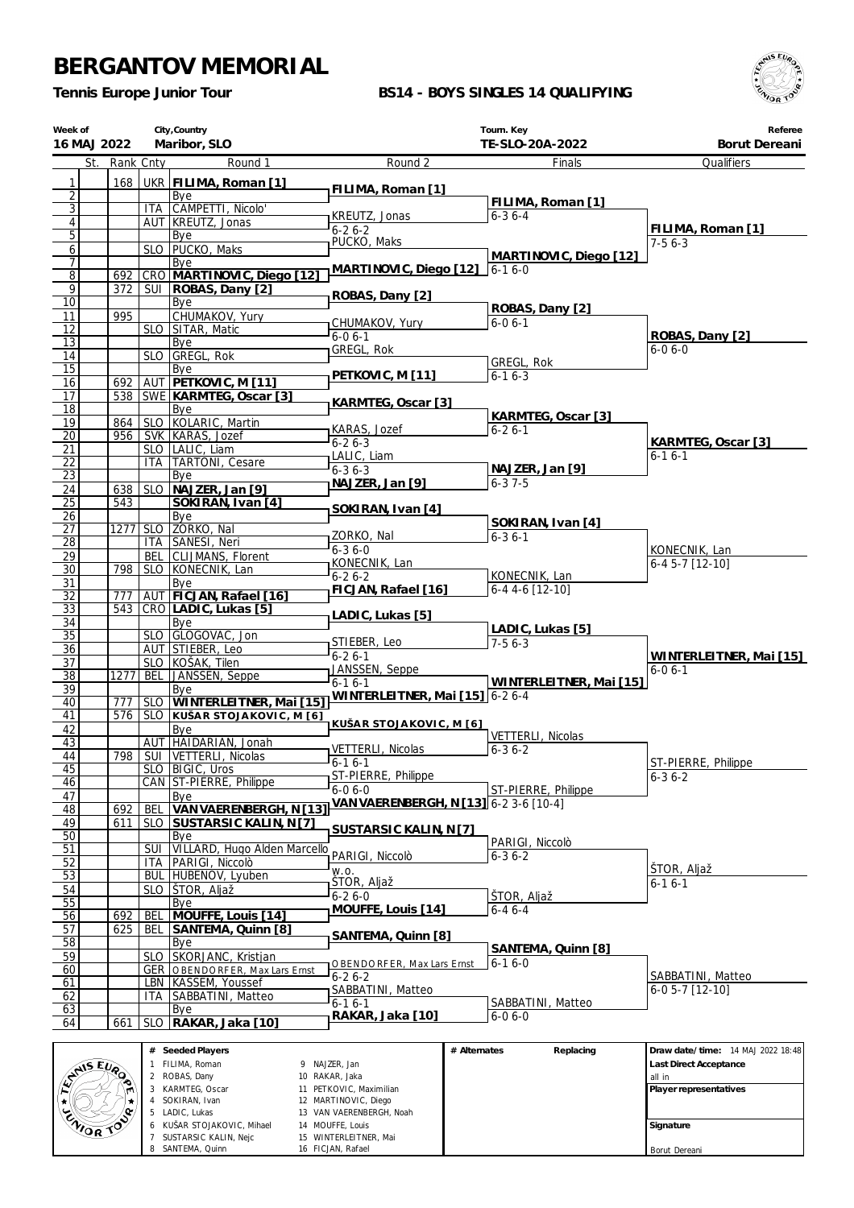6 KUŠAR STOJAKOVIC, Mihael 7 SUSTARSIC KALIN, Nejc 8 SANTEMA, Quinn

 VAN VAERENBERGH, Noah MOUFFE, Louis WINTERLEITNER, Mai FICJAN, Rafael

**Signature** Borut Dereani

*Tennis Europe Junior Tour*

### **BS14 - BOYS SINGLES 14 QUALIFYING**



| Week of<br>16 MAJ 2022           |           |                    | City, Country<br>Maribor, SLO                |                                              | Tourn. Key<br>TE-SLO-20A-2022    | Referee<br>Borut Dereani             |
|----------------------------------|-----------|--------------------|----------------------------------------------|----------------------------------------------|----------------------------------|--------------------------------------|
| St.                              | Rank Cnty |                    | Round 1                                      | Round 2                                      | Finals                           | Qualifiers                           |
| 1                                | 168       |                    | UKR   FILIMA, Roman [1]                      | FILIMA, Roman [1]                            |                                  |                                      |
| $\overline{2}$<br>$\overline{3}$ |           |                    | Bye<br>ITA CAMPETTI, Nicolo'                 |                                              | FILIMA, Roman [1]                |                                      |
| $\overline{4}$                   |           |                    | AUT KREUTZ, Jonas                            | KREUTZ, Jonas                                | $6 - 36 - 4$                     |                                      |
| $\overline{5}$                   |           |                    | Bye                                          | $6 - 26 - 2$                                 |                                  | FILIMA, Roman [1]                    |
| 6                                |           |                    | SLO   PUCKO, Maks                            | PUCKO, Maks                                  | MARTINOVIC, Diego [12]           | $7-56-3$                             |
| 7                                | 692       |                    | Bye<br>CRO MARTINOVIC, Diego [12]            | MARTINOVIC, Diego [12]                       | $6 - 16 - 0$                     |                                      |
| $\overline{8}$<br>9              | 372       |                    | SUI   ROBAS, Dany [2]                        |                                              |                                  |                                      |
| $\overline{10}$                  |           |                    | Bye                                          | ROBAS, Dany [2]                              |                                  |                                      |
| 11                               | 995       |                    | CHUMAKOV, Yury                               | CHUMAKOV, Yury                               | ROBAS, Dany [2]<br>$6 - 06 - 1$  |                                      |
| 12<br>13                         |           |                    | SLO SITAR, Matic                             | $6 - 06 - 1$                                 |                                  | ROBAS, Dany [2]                      |
| 14                               |           |                    | Bye<br>SLO GREGL, Rok                        | GREGL, Rok                                   |                                  | $6 - 06 - 0$                         |
| $\overline{15}$                  |           |                    | Bye                                          |                                              | GREGL, Rok                       |                                      |
| 16                               | 692       |                    | AUT PETKOVIC, M [11]                         | PETKOVIC, M [11]                             | $6 - 16 - 3$                     |                                      |
| 17<br>$\overline{18}$            |           |                    | 538 SWE KARMTEG, Oscar [3]                   | KARMTEG, Oscar [3]                           |                                  |                                      |
| 19                               | 864       |                    | Bye<br>SLO KOLARIC, Martin                   |                                              | KARMTEG, Oscar [3]               |                                      |
| $\overline{20}$                  | 956       |                    | SVK KARAS, Jozef                             | KARAS, Jozef                                 | $6 - 26 - 1$                     |                                      |
| 21                               |           |                    | SLO   LALIC, Liam                            | $6-26-3$<br>LALIC, Liam                      |                                  | KARMTEG, Oscar [3]<br>$6 - 16 - 1$   |
| 22                               |           |                    | <b>ITA TARTONI, Cesare</b>                   | $6 - 36 - 3$                                 | NAJZER, Jan [9]                  |                                      |
| 23<br>24                         | 638       | <b>SLO</b>         | Bye<br>NAJZER, Jan [9]                       | NAJZER, Jan [9]                              | $6 - 37 - 5$                     |                                      |
| $\overline{25}$                  | 543       |                    | SOKIRAN, Ivan [4]                            |                                              |                                  |                                      |
| 26                               |           |                    | Bye                                          | SOKIRAN, Ivan [4]                            | SOKIRAN, Ivan [4]                |                                      |
| $\overline{27}$                  | 1277      | SLO                | ZORKO, Nal                                   | ZORKO, Nal                                   | $6 - 36 - 1$                     |                                      |
| $\overline{28}$<br>29            |           | <b>BEL</b>         | ITA SANESI, Neri<br>CLIJMANS, Florent        | $6 - 36 - 0$                                 |                                  | KONECNIK, Lan                        |
| $\overline{30}$                  | 798       |                    | SLO KONECNIK, Lan                            | KONECNIK, Lan                                |                                  | 6-4 5-7 [12-10]                      |
| 31                               |           |                    | Bye                                          | $6 - 26 - 2$<br>FICJAN, Rafael [16]          | KONECNIK, Lan<br>6-4 4-6 [12-10] |                                      |
| 32                               | 777       |                    | AUT FICJAN, Rafael [16]                      |                                              |                                  |                                      |
| 33<br>34                         | 543       |                    | CRO LADIC, Lukas [5]<br>Bye                  | LADIC, Lukas [5]                             |                                  |                                      |
| $\overline{35}$                  |           |                    | SLO GLOGOVAC, Jon                            |                                              | LADIC, Lukas [5]                 |                                      |
| $\overline{36}$                  |           |                    | AUT STIEBER, Leo                             | STIEBER, Leo<br>$6 - 26 - 1$                 | $7-56-3$                         | WINTERLEITNER, Mai [15]              |
| 37                               |           |                    | SLO KOŠAK, Tilen                             | JANSSEN, Seppe                               |                                  | $6 - 06 - 1$                         |
| $\overline{38}$<br>39            | 1277      | <b>BEL</b>         | JANSSEN, Seppe<br>Bye                        | $6-16-1$                                     | WINTERLEITNER, Mai [15]          |                                      |
| 40                               | 777       |                    | SLO WINTERLEITNER, Mai [15]                  | WINTERLEITNER, Mai [15] 6-2 6-4              |                                  |                                      |
| 41                               |           |                    | 576   SLO KUŠAR STOJAKOVIC, M [6]            | KUŠAR STOJAKOVIC, M [6]                      |                                  |                                      |
| 42                               |           |                    | Bye<br>AUT HAIDARIAN, Jonah                  |                                              | VETTERLI, Nicolas                |                                      |
| 43<br>44                         |           |                    | 798   SUI   VETTERLI, Nicolas                | VETTERLI, Nicolas                            | $6 - 36 - 2$                     |                                      |
| 45                               |           |                    | SLO   BIGIC, Uros                            | $6 - 16 - 1$                                 |                                  | ST-PIERRE, Philippe                  |
| 46                               |           |                    | CAN ST-PIERRE, Philippe                      | ST-PIERRE, Philippe<br>$6-06-0$              | ST-PIERRE, Philippe              | $6 - 36 - 2$                         |
| 47<br>48                         | 692       | <b>BEL</b>         | Bye<br>VAN VAERENBERGH, N [13]               | VAN VAERENBERGH, N [13] 6-2 3-6 [10-4]       |                                  |                                      |
| 49                               | 611       | <b>SLO</b>         | SUSTARSIC KALIN, N [7]                       |                                              |                                  |                                      |
| 50                               |           |                    | Bye                                          | SUSTARSIC KALIN, N[7]                        | PARIGI, Niccolò                  |                                      |
| 51                               |           | <b>SUI</b>         | VILLARD, Hugo Alden Marcello                 | PARIGI, Niccolò                              | $6 - 36 - 2$                     |                                      |
| 52<br>53                         |           | ITA.<br><b>BUL</b> | PARIGI, Niccolò<br>HUBENOV, Lyuben           | W.O.                                         |                                  | STOR, Aljaž                          |
| 54                               |           | <b>SLO</b>         | ŠTOR, Aljaž                                  | ŠTOR, Aljaž                                  |                                  | 6-1 6-1                              |
| 55                               |           |                    | Bye                                          | $6 - 26 - 0$<br>MOUFFE, Louis [14]           | ŠTOR, Aljaž                      |                                      |
| 56                               | 692       | BEL                | MOUFFE, Louis [14]                           |                                              | $6 - 46 - 4$                     |                                      |
| 57                               | 625       | BEL                | SANTEMA, Quinn [8]                           | SANTEMA, Quinn [8]                           |                                  |                                      |
| 58<br>59                         |           |                    | Bye<br>SLO SKORJANC, Kristjan                |                                              | SANTEMA, Quinn [8]               |                                      |
| 60                               |           |                    | <b>GER   OBENDORFER, Max Lars Ernst</b>      | OBENDORFER, Max Lars Ernst                   | $6 - 16 - 0$                     |                                      |
| 61                               |           |                    | LBN   KASSEM, Youssef                        | $6 - 26 - 2$<br>SABBATINI, Matteo            |                                  | SABBATINI, Matteo<br>6-0 5-7 [12-10] |
| 62                               |           | ITA                | SABBATINI, Matteo                            | $6 - 16 - 1$                                 | SABBATINI, Matteo                |                                      |
| 63<br>64                         | 661       | <b>SLO</b>         | Bye<br>RAKAR, Jaka [10]                      | RAKAR, Jaka [10]                             | $6 - 06 - 0$                     |                                      |
|                                  |           |                    |                                              |                                              |                                  |                                      |
|                                  |           |                    | # Seeded Players                             |                                              | # Alternates<br>Replacing        | Draw date/time: 14 MAJ 2022 18:48    |
|                                  |           |                    | 1 FILIMA, Roman<br>2 ROBAS, Dany             | 9 NAJZER, Jan<br>10 RAKAR, Jaka              |                                  | Last Direct Acceptance               |
| AMIS EURO                        |           |                    | 3 KARMTEG, Oscar                             | 11 PETKOVIC, Maximilian                      |                                  | all in<br>Player representatives     |
| $\star$                          |           |                    | 4 SOKIRAN, Ivan                              | 12 MARTINOVIC, Diego                         |                                  |                                      |
|                                  |           |                    | 5 LADIC, Lukas<br>6 KUŠAR STOJAKOVIC, Mihael | 13 VAN VAERENBERGH, Noah<br>14 MOUFFE, Louis |                                  | Signature                            |
|                                  | ZWORTOS   |                    | 7 SUSTARSIC KALIN, Neic                      | 15 WINTERLEITNER, Mai                        |                                  |                                      |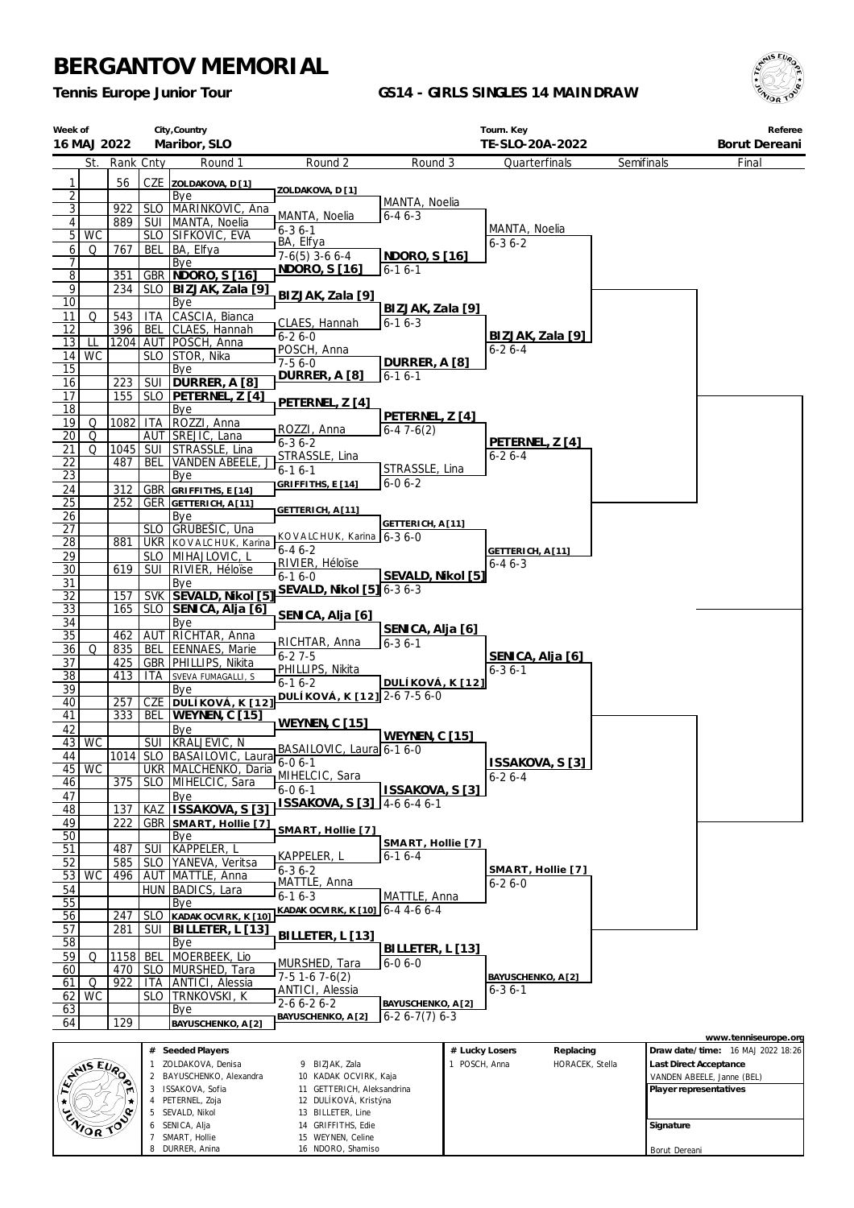SEVALD, Nikol SENICA, Alja SMART, Hollie DURRER, Anina

 BILLETER, Line GRIFFITHS, Edie WEYNEN, Celine NDORO, Shamiso

*Tennis Europe Junior Tour*

### **GS14 - GIRLS SINGLES 14 MAINDRAW**



**Signature** Borut Dereani

| Week of             | City, Country<br>16 MAJ 2022<br>Maribor, SLO |             |                   |                                          |                                            | Tourn. Key<br>TE-SLO-20A-2022        |                                 |                                  |            |           | Referee<br>Borut Dereani                                  |
|---------------------|----------------------------------------------|-------------|-------------------|------------------------------------------|--------------------------------------------|--------------------------------------|---------------------------------|----------------------------------|------------|-----------|-----------------------------------------------------------|
|                     | St.                                          | Rank Cnty   |                   | Round 1                                  | Round 2                                    | Round 3                              |                                 | Quarterfinals                    | Semifinals |           | Final                                                     |
|                     |                                              |             |                   |                                          |                                            |                                      |                                 |                                  |            |           |                                                           |
| 1<br>$\overline{2}$ |                                              | 56          |                   | CZE ZOLDAKOVA, D[1]<br>Bye               | ZOLDAKOVA, D [1]                           |                                      |                                 |                                  |            |           |                                                           |
| $\overline{3}$      |                                              | 922         |                   | SLO   MARINKOVIC, Ana                    |                                            | MANTA, Noelia                        |                                 |                                  |            |           |                                                           |
| 4                   |                                              | 889         | SUI               | MANTA, Noelia                            | MANTA, Noelia<br>$6 - 36 - 1$              | $6 - 46 - 3$                         |                                 | MANTA, Noelia                    |            |           |                                                           |
| 5                   | <b>WC</b>                                    |             |                   | SLO SIFKOVIC, EVA                        | BA, Elfya                                  |                                      |                                 | $6 - 36 - 2$                     |            |           |                                                           |
| 6                   | Q                                            | 767         | <b>BEL</b>        | BA, Elfya                                | $7-6(5)$ 3-6 6-4                           | NDORO, S [16]                        |                                 |                                  |            |           |                                                           |
| 7<br>$\overline{8}$ |                                              | 351         |                   | Bye<br>GBR   NDORO, S [16]               | NDORO, S [16]                              | $6 - 16 - 1$                         |                                 |                                  |            |           |                                                           |
| 9                   |                                              | 234         | <b>SLO</b>        | BIZJAK, Zala [9]                         |                                            |                                      |                                 |                                  |            |           |                                                           |
| 10                  |                                              |             |                   | Bye                                      | BIZJAK, Zala [9]                           | BIZJAK, Zala [9]                     |                                 |                                  |            |           |                                                           |
| 11                  | Q                                            | 543         | ITA               | CASCIA, Bianca                           | CLAES, Hannah                              | $6 - 16 - 3$                         |                                 |                                  |            |           |                                                           |
| 12                  |                                              | 396         | BEL               | CLAES, Hannah                            | $6 - 26 - 0$                               |                                      |                                 | BIZJAK, Zala [9]                 |            |           |                                                           |
| 13<br>14            | LL<br><b>WC</b>                              |             |                   | 1204 AUT POSCH, Anna<br>SLO STOR, Nika   | POSCH, Anna                                |                                      |                                 | $6 - 26 - 4$                     |            |           |                                                           |
| 15                  |                                              |             |                   | Bye                                      | $7-56-0$                                   | DURRER, A [8]                        |                                 |                                  |            |           |                                                           |
| 16                  |                                              | 223         | SUI               | DURRER, A [8]                            | DURRER, A [8]                              | $6 - 16 - 1$                         |                                 |                                  |            |           |                                                           |
| 17                  |                                              | 155         | <b>SLO</b>        | PETERNEL, Z [4]                          | PETERNEL, Z [4]                            |                                      |                                 |                                  |            |           |                                                           |
| 18                  |                                              |             |                   | Bye                                      |                                            | PETERNEL, Z [4]                      |                                 |                                  |            |           |                                                           |
| 19<br>20            | Q<br>Q                                       | 1082        | <b>ITA</b>        | ROZZI, Anna<br>AUT SREJIC, Lana          | ROZZI, Anna                                | $6-47-6(2)$                          |                                 |                                  |            |           |                                                           |
| 21                  | Q                                            | 1045        | SUI               | STRASSLE, Lina                           | $6 - 36 - 2$                               |                                      |                                 | PETERNEL, Z [4]                  |            |           |                                                           |
| 22                  |                                              | 487         | BEL               | <b>VANDEN ABEELE</b>                     | STRASSLE, Lina                             |                                      |                                 | $6 - 26 - 4$                     |            |           |                                                           |
| 23                  |                                              |             |                   | Bye                                      | $6 - 16 - 1$                               | STRASSLE, Lina<br>$6-06-2$           |                                 |                                  |            |           |                                                           |
| 24                  |                                              | 312         | GBR               | GRIFFITHS, E [14]                        | GRIFFITHS, E [14]                          |                                      |                                 |                                  |            |           |                                                           |
| $\overline{25}$     |                                              | 252         |                   | <b>GER</b> GETTERICH, A [11]             | GETTERICH, A[11]                           |                                      |                                 |                                  |            |           |                                                           |
| 26<br>27            |                                              |             | <b>SLO</b>        | Bye<br>GRUBEŠIC, Una                     |                                            | GETTERICH, A [11]                    |                                 |                                  |            |           |                                                           |
| $\overline{28}$     |                                              | 881         |                   | UKR KOVALCHUK, Karina                    | KOVALCHUK, Karina 6-3 6-0                  |                                      |                                 |                                  |            |           |                                                           |
| 29                  |                                              |             |                   | SLO   MIHAJLOVIC, L                      | $6 - 46 - 2$                               |                                      |                                 | GETTERICH, A [11]                |            |           |                                                           |
| 30                  |                                              | 619         | <b>SUI</b>        | RIVIER, Héloïse                          | RIVIER, Héloïse<br>$6-16-0$                | SEVALD, Nikol [5]                    |                                 | $6 - 46 - 3$                     |            |           |                                                           |
| 31                  |                                              |             |                   | Bye                                      | SEVALD, Nikol [5] 6-3 6-3                  |                                      |                                 |                                  |            |           |                                                           |
| 32                  |                                              | 157         |                   | SVK SEVALD, Nikol [5]                    |                                            |                                      |                                 |                                  |            |           |                                                           |
| <u>33</u><br>34     |                                              | 165         |                   | SLO SENICA, Alja [6]<br>Bye              | SENICA, Alja [6]                           |                                      |                                 |                                  |            |           |                                                           |
| 35                  |                                              | 462         | AUT               | RICHTAR, Anna                            |                                            | SENICA, Alja [6]                     |                                 |                                  |            |           |                                                           |
| 36                  | Q                                            | 835         | BEL               | EENNAES, Marie                           | RICHTAR, Anna<br>$6 - 27 - 5$              | $6 - 36 - 1$                         |                                 |                                  |            |           |                                                           |
| 37                  |                                              | 425         |                   | GBR   PHILLIPS, Nikita                   | PHILLIPS, Nikita                           |                                      |                                 | SENICA, Alja [6]<br>$6 - 36 - 1$ |            |           |                                                           |
| $\overline{38}$     |                                              | 413         | ITA               | SVEVA FUMAGALLI, S                       | $6 - 16 - 2$                               | DULÍKOVÁ, K [12]                     |                                 |                                  |            |           |                                                           |
| 39<br>40            |                                              | 257         | CZE               | Bye<br>DULÍKOVÁ, K <sup>[12]</sup>       | DULÍKOVÁ, K [12] 2-6 7-5 6-0               |                                      |                                 |                                  |            |           |                                                           |
| 41                  |                                              | 333         | BEL               | WEYNEN, C [15]                           |                                            |                                      |                                 |                                  |            |           |                                                           |
| 42                  |                                              |             |                   | Bye                                      | <b>WEYNEN, C [15]</b>                      |                                      |                                 |                                  |            |           |                                                           |
|                     | $43$ WC                                      |             |                   | SUI KRALJEVIC, N                         | BASAILOVIC, Laura 6-1 6-0                  | WEYNEN, C [15]                       |                                 |                                  |            |           |                                                           |
| 44                  |                                              |             |                   | 1014 SLO BASAILOVIC, Laura 6-0 6-1       |                                            |                                      |                                 | ISSAKOVA, S [3]                  |            |           |                                                           |
| 46                  | $45$ WC                                      | 375         | <b>SLO</b>        | UKR   MALCHENKO, Daria<br>MIHELCIC, Sara | MIHELCIC, Sara                             |                                      |                                 | $6 - 26 - 4$                     |            |           |                                                           |
| 47                  |                                              |             |                   | Bye                                      | $6 - 06 - 1$                               | ISSAKOVA, S [3]                      |                                 |                                  |            |           |                                                           |
| 48                  |                                              | 137         | KAZ               | ISSAKOVA, S [3]                          | ISSAKOVA, S [3]                            | 4-6 6-4 6-1                          |                                 |                                  |            |           |                                                           |
| 49                  |                                              | 222         | GBR               | SMART, Hollie [7]                        |                                            |                                      |                                 |                                  |            |           |                                                           |
| 50                  |                                              |             |                   | Bye                                      | SMART, Hollie [7]                          | SMART, Hollie [7]                    |                                 |                                  |            |           |                                                           |
| 51                  |                                              | 487         | <b>SUI</b>        | KAPPELER, L                              | KAPPELER, L                                | $6 - 16 - 4$                         |                                 |                                  |            |           |                                                           |
| 52<br>53            | <b>WC</b>                                    | 585<br>496  | SLO               | YANEVA, Veritsa<br>AUT MATTLE, Anna      | $6 - 36 - 2$                               |                                      |                                 | SMART, Hollie [7]                |            |           |                                                           |
| 54                  |                                              |             | HUN               | BADICS, Lara                             | MATTLE, Anna                               |                                      |                                 | $6 - 26 - 0$                     |            |           |                                                           |
| 55                  |                                              |             |                   | Bye                                      | $6 - 16 - 3$                               | MATTLE, Anna                         |                                 |                                  |            |           |                                                           |
| 56                  |                                              | 247         | <b>SLO</b>        | KADAK OCVIRK, K [10]                     | KADAK OCVIRK, K [10] 6-4 4-6 6-4           |                                      |                                 |                                  |            |           |                                                           |
| 57                  |                                              | 281         | SUI               | BILLETER, L [13]                         | BILLETER, L [13]                           |                                      |                                 |                                  |            |           |                                                           |
| 58                  |                                              |             |                   | Bye                                      |                                            | BILLETER, L [13]                     |                                 |                                  |            |           |                                                           |
| 59<br>60            | Q                                            | 1158<br>470 | BEL<br><b>SLO</b> | MOERBEEK, Lio<br>MURSHED, Tara           | MURSHED, Tara                              | $6 - 06 - 0$                         |                                 |                                  |            |           |                                                           |
| 61                  | Q                                            | 922         | <b>ITA</b>        | ANTICI, Alessia                          | $7-51-67-6(2)$                             |                                      |                                 | BAYUSCHENKO, A [2]               |            |           |                                                           |
| 62                  | <b>WC</b>                                    |             | <b>SLO</b>        | <b>TRNKOVSKI, K</b>                      | <b>ANTICI</b> , Alessia                    |                                      |                                 | $6 - 36 - 1$                     |            |           |                                                           |
| 63                  |                                              |             |                   | Bye                                      | $2 - 6 6 - 2 6 - 2$<br>BAYUSCHENKO, A [2]  | BAYUSCHENKO, A [2]<br>$6-26-7(7)6-3$ |                                 |                                  |            |           |                                                           |
| 64                  |                                              | 129         |                   | BAYUSCHENKO, A [2]                       |                                            |                                      |                                 |                                  |            |           |                                                           |
|                     |                                              |             |                   | # Seeded Players                         |                                            |                                      |                                 |                                  |            |           | www.tenniseurope.org<br>Draw date/time: 16 MAJ 2022 18:26 |
|                     |                                              |             | 1                 | ZOLDAKOVA, Denisa                        | 9 BIZJAK, Zala                             |                                      | # Lucky Losers<br>1 POSCH, Anna | Replacing<br>HORACEK, Stella     |            |           | Last Direct Acceptance                                    |
|                     | ANS EVA                                      |             | 2                 | BAYUSCHENKO, Alexandra                   | 10 KADAK OCVIRK, Kaja                      |                                      |                                 |                                  |            |           | VANDEN ABEELE, Janne (BEL)                                |
|                     |                                              |             |                   | 3 ISSAKOVA, Sofia                        | 11 GETTERICH, Aleksandrina                 |                                      |                                 |                                  |            |           | Player representatives                                    |
| ★                   |                                              | ¢           |                   | 4 PETERNEL, Zoja<br>5 SEVALD, Nikol      | 12 DULÍKOVÁ, Kristýna<br>13 BILLETER, Line |                                      |                                 |                                  |            |           |                                                           |
|                     | ZNIOR TO                                     |             | 6                 | SENICA, Alja                             | 14 GRIFFITHS, Edie                         |                                      |                                 |                                  |            | Signature |                                                           |
|                     |                                              |             |                   | SMART. Hollie                            | 15 WEYNEN, Celine                          |                                      |                                 |                                  |            |           |                                                           |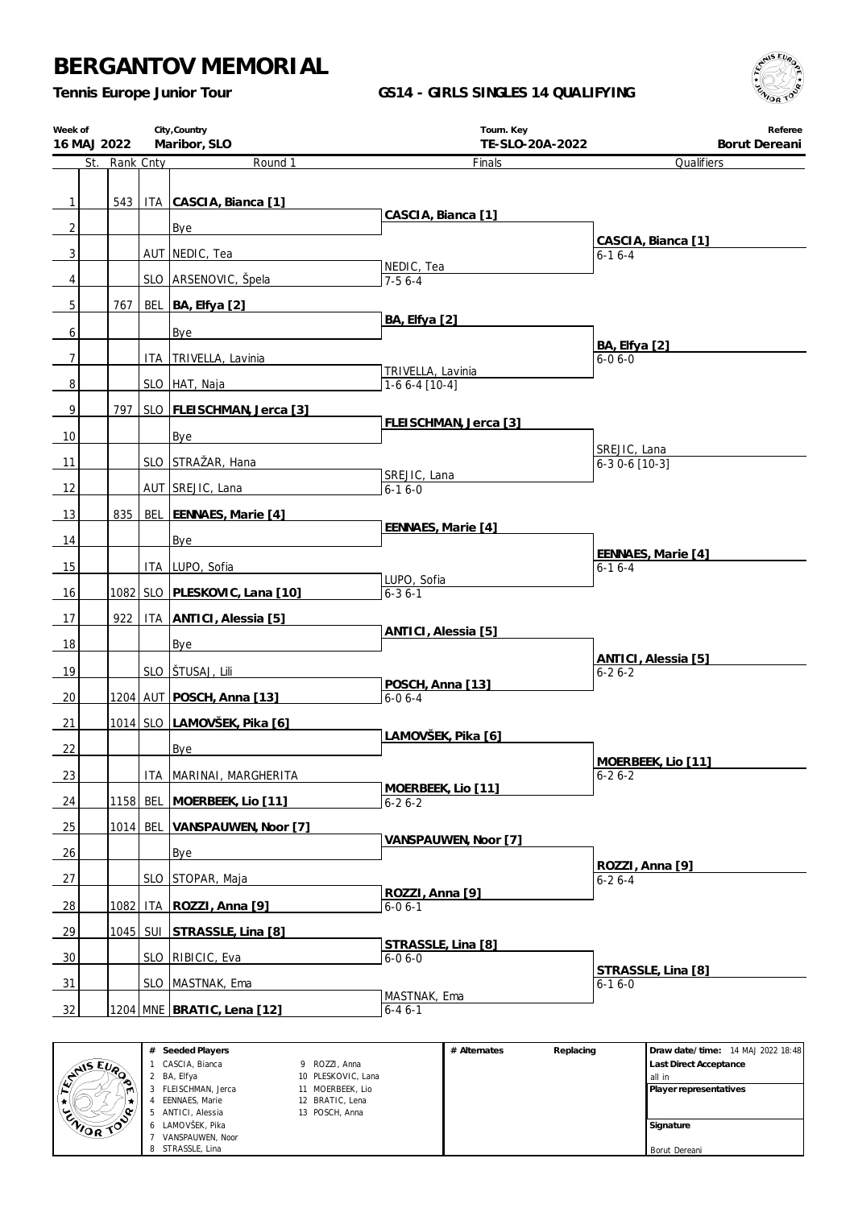*Tennis Europe Junior Tour*

### **GS14 - GIRLS SINGLES 14 QUALIFYING**



| Week of<br>16 MAJ 2022 |               |            | City, Country<br>Maribor, SLO  | Tourn. Key<br>TE-SLO-20A-2022      | Referee<br>Borut Dereani            |
|------------------------|---------------|------------|--------------------------------|------------------------------------|-------------------------------------|
|                        | St. Rank Cnty |            | Round 1                        | Finals                             | Qualifiers                          |
|                        |               |            |                                |                                    |                                     |
| $\mathbf{1}$           | 543           |            | ITA CASCIA, Bianca [1]         | CASCIA, Bianca [1]                 |                                     |
| $\overline{c}$         |               |            | Bye                            |                                    | CASCIA, Bianca [1]                  |
| 3                      |               |            | AUT NEDIC, Tea                 |                                    | $6 - 16 - 4$                        |
| 4                      |               |            | SLO ARSENOVIC, Špela           | NEDIC, Tea<br>$7-56-4$             |                                     |
| 5                      | 767           |            | BEL BA, Elfya [2]              |                                    |                                     |
|                        |               |            |                                | BA, Elfya [2]                      |                                     |
| 6                      |               |            | Bye                            |                                    | <b>BA, Elfya</b> [2]                |
| $\overline{7}$         |               |            | ITA   TRIVELLA, Lavinia        | TRIVELLA, Lavinia                  | $6 - 06 - 0$                        |
| $\overline{8}$         |               |            | SLO HAT, Naja                  | $1-66-4$ [10-4]                    |                                     |
| 9                      | 797           |            | SLO FLEISCHMAN, Jerca [3]      |                                    |                                     |
| 10                     |               |            | Bye                            | FLEISCHMAN, Jerca [3]              |                                     |
|                        |               |            |                                |                                    | SREJIC, Lana                        |
| 11                     |               |            | SLO STRAŽAR, Hana              | SREJIC, Lana                       | $6-30-6$ [10-3]                     |
| 12                     |               |            | AUT SREJIC, Lana               | $6 - 16 - 0$                       |                                     |
| 13                     | 835           |            | BEL EENNAES, Marie [4]         |                                    |                                     |
| 14                     |               |            | Bye                            | EENNAES, Marie [4]                 |                                     |
| 15                     |               |            | ITA LUPO, Sofia                |                                    | EENNAES, Marie [4]<br>$6 - 16 - 4$  |
|                        |               |            |                                | LUPO, Sofia                        |                                     |
| 16                     |               |            | 1082 SLO PLESKOVIC, Lana [10]  | $6 - 36 - 1$                       |                                     |
| 17                     | 922           |            | <b>ITA ANTICI, Alessia [5]</b> | ANTICI, Alessia [5]                |                                     |
| 18                     |               |            | Bye                            |                                    |                                     |
| 19                     |               |            | SLO STUSAJ, Lili               |                                    | ANTICI, Alessia [5]<br>$6 - 26 - 2$ |
| 20                     |               |            | 1204 AUT POSCH, Anna [13]      | POSCH, Anna [13]<br>$6 - 06 - 4$   |                                     |
|                        |               |            |                                |                                    |                                     |
| 21                     |               |            | 1014 SLO LAMOVŠEK, Pika [6]    | LAMOVŠEK, Pika [6]                 |                                     |
| 22                     |               |            | Bye                            |                                    | MOFRBEEK Lio [11]                   |
| 23                     |               | ITA        | MARINAI, MARGHERITA            | MOERBEEK, Lio [11]                 | $6 - 26 - 2$                        |
| 24                     | 1158          | <b>BEL</b> | MOERBEEK, Lio [11]             | $6 - 26 - 2$                       |                                     |
| $\frac{25}{2}$         | 1014          | <b>BEL</b> | VANSPAUWEN, Noor [7]           |                                    |                                     |
| 26                     |               |            | Bye                            | VANSPAUWEN, Noor [7]               |                                     |
|                        |               |            |                                |                                    | ROZZI, Anna [9]                     |
| 27                     |               | <b>SLO</b> | STOPAR, Maja                   | ROZZI, Anna [9]                    | $6 - 26 - 4$                        |
| 28                     |               |            | 1082   ITA   ROZZI, Anna [9]   | $6 - 06 - 1$                       |                                     |
| 29                     |               |            | 1045   SUI STRASSLE, Lina [8]  |                                    |                                     |
| 30                     |               |            | SLO RIBICIC, Eva               | STRASSLE, Lina [8]<br>$6 - 06 - 0$ |                                     |
| 31                     |               |            | SLO   MASTNAK, Ema             |                                    | STRASSLE, Lina [8]<br>6-1 6-0       |
|                        |               |            |                                | MASTNAK, Ema                       |                                     |
| 32                     |               |            | 1204 MNE BRATIC, Lena [12]     | $6 - 46 - 1$                       |                                     |

|                  | # Seeded Players      |                    | # Alternates | Replacing | Draw date/time: 14 MAJ 2022 18:48 |  |
|------------------|-----------------------|--------------------|--------------|-----------|-----------------------------------|--|
|                  | CASCIA, Bianca        | 9 ROZZI, Anna      |              |           | <b>Last Direct Acceptance</b>     |  |
| AIS EVA<br>ಾ     | 2 BA. Elfva           | 10 PLESKOVIC, Lana |              |           | all in                            |  |
| m                | FLEISCHMAN, Jerca     | 11 MOERBEEK, Lio   |              |           | Player representatives            |  |
|                  | <b>EENNAES, Marie</b> | 12 BRATIC, Lena    |              |           |                                   |  |
| ಀ<br>.c          | ANTICI, Alessia       | 13 POSCH, Anna     |              |           |                                   |  |
| <b>ENIOR TOP</b> | 6 LAMOVŠEK, Pika      |                    |              |           | Signature                         |  |
|                  | VANSPAUWEN, Noor      |                    |              |           |                                   |  |
|                  | 8 STRASSLE, Lina      |                    |              |           | Borut Dereani                     |  |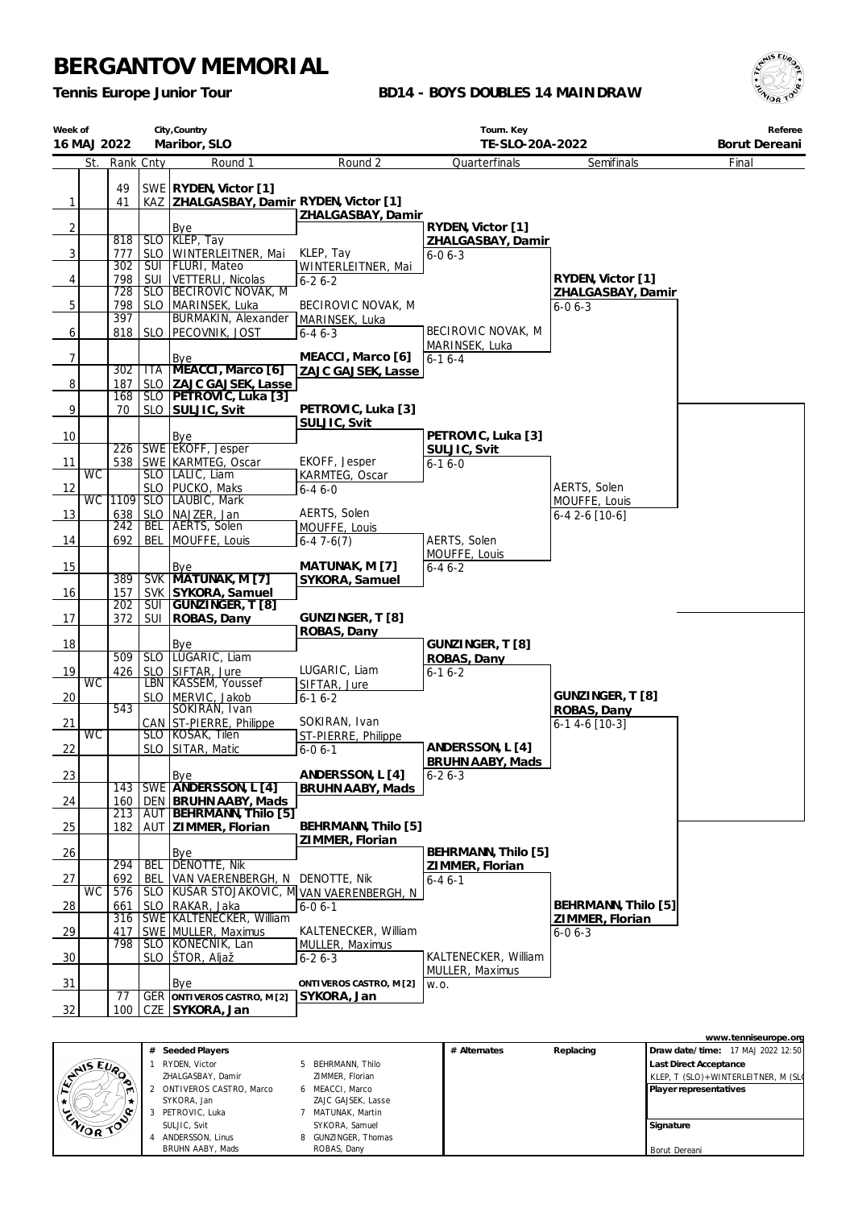*Tennis Europe Junior Tour*

### **BD14 - BOYS DOUBLES 14 MAINDRAW**



| Week of        |           | City, Country<br>Maribor, SLO<br>16 MAJ 2022<br>St. Rank Cnty |                          |                                                                    |                                         | Tourn. Key<br>TE-SLO-20A-2022        |                                        | Referee<br>Borut Dereani |
|----------------|-----------|---------------------------------------------------------------|--------------------------|--------------------------------------------------------------------|-----------------------------------------|--------------------------------------|----------------------------------------|--------------------------|
|                |           |                                                               |                          | Round 1                                                            | Round 2                                 | Quarterfinals                        | Semifinals                             | Final                    |
| $\mathbf{1}$   |           | 49<br>41                                                      |                          | SWE RYDEN, Victor [1]<br>KAZ   ZHALGASBAY, Damir RYDEN, Victor [1] | ZHALGASBAY, Damir                       |                                      |                                        |                          |
| 2              |           |                                                               |                          | Bye<br>SLO KLEP, Tay                                               |                                         | RYDEN, Victor [1]                    |                                        |                          |
| 3 <sup>1</sup> |           | 818<br>777                                                    |                          | SLO WINTERLEITNER, Mai                                             | KLEP, Tay                               | ZHALGASBAY, Damir<br>$6 - 06 - 3$    |                                        |                          |
|                |           | 302                                                           |                          | SUI   FLURI, Mateo                                                 | WINTERLEITNER, Mai                      |                                      |                                        |                          |
| 4              |           | 798<br>728                                                    | SUI                      | VETTERLI, Nicolas<br>SLO BECIROVIC NOVAK, M                        | $6 - 26 - 2$                            |                                      | RYDEN, Victor [1]<br>ZHALGASBAY, Damir |                          |
| 5              |           | 798                                                           |                          | SLO MARINSEK, Luka                                                 | BECIROVIC NOVAK, M                      |                                      | $6 - 06 - 3$                           |                          |
| 6              |           | 397                                                           |                          | BURMAKIN, Alexander<br>818   SLO   PECOVNIK, JOST                  | MARINSEK, Luka<br>$6 - 46 - 3$          | BECIROVIC NOVAK, M                   |                                        |                          |
| 7              |           |                                                               |                          | Bye                                                                | MEACCI, Marco [6]                       | MARINSEK, Luka<br>$6-16-4$           |                                        |                          |
|                |           | 302                                                           | <b>ITA</b>               | MEACCI, Marco [6]                                                  | ZAJC GAJSEK, Lasse                      |                                      |                                        |                          |
| 8              |           | 187<br>168                                                    |                          | SLO ZAJC GAJSEK, Lasse<br>SLO   PETROVIC, Luka [3]                 |                                         |                                      |                                        |                          |
| 9              |           | 70                                                            |                          | SLO SULJIC, Svit                                                   | PETROVIC, Luka [3]<br>SULJIC, Svit      |                                      |                                        |                          |
| 10             |           |                                                               |                          | Bye                                                                |                                         | PETROVIC, Luka [3]                   |                                        |                          |
| 11             |           | 538                                                           |                          | 226 SWE EKOFF, Jesper<br>SWE KARMTEG, Oscar                        | EKOFF, Jesper                           | SULJIC, Svit<br>$6 - 16 - 0$         |                                        |                          |
|                | <b>WC</b> |                                                               |                          | SLO   LALIC, Liam                                                  | KARMTEG, Oscar                          |                                      |                                        |                          |
| 12             |           | WC 1109                                                       |                          | SLO   PUCKO, Maks<br>SLO LAUBIC, Mark                              | $6 - 46 - 0$                            |                                      | AERTS, Solen                           |                          |
| 13             |           | 638                                                           |                          | SLO   NAJZER, Jan                                                  | AERTS, Solen                            |                                      | MOUFFE, Louis<br>6-4 2-6 [10-6]        |                          |
|                |           | 242                                                           | BEL                      | <b>AERTS, Solen</b>                                                | MOUFFE, Louis                           |                                      |                                        |                          |
| 14             |           | 692                                                           | <b>BEL</b>               | MOUFFE, Louis                                                      | $6-47-6(7)$                             | AERTS, Solen<br>MOUFFE, Louis        |                                        |                          |
| 15             |           |                                                               |                          | Bye                                                                | MATUNAK, M [7]                          | $6 - 46 - 2$                         |                                        |                          |
| 16             |           | 389<br>157                                                    |                          | SVK MATUNAK, M [7]<br>SVK SYKORA, Samuel                           | SYKORA, Samuel                          |                                      |                                        |                          |
|                |           | 202                                                           | $\overline{\text{SUI}}$  | GUNZINGER, T [8]                                                   |                                         |                                      |                                        |                          |
| 17             |           | 372                                                           | SUI                      | ROBAS, Dany                                                        | GUNZINGER, T [8]<br>ROBAS, Dany         |                                      |                                        |                          |
| 18             |           |                                                               |                          | Bye                                                                |                                         | GUNZINGER, T [8]                     |                                        |                          |
|                |           | 509                                                           | SLO                      | LUGARIC, Liam                                                      |                                         | ROBAS, Dany                          |                                        |                          |
| 19             | <b>WC</b> | 426                                                           | <b>SLO</b>               | SIFTAR, Jure<br>LBN   KASSEM, Youssef                              | LUGARIC, Liam<br>SIFTAR, Jure           | $6 - 16 - 2$                         |                                        |                          |
| 20             |           |                                                               |                          | SLO   MERVIC, Jakob                                                | $6 - 16 - 2$                            |                                      | GUNZINGER, T [8]                       |                          |
| 21             |           | 543                                                           |                          | SOKIRAN, Ivan<br>CAN ST-PIERRE, Philippe                           | SOKIRAN, Ivan                           |                                      | ROBAS, Dany<br>6-1 4-6 [10-3]          |                          |
|                | <b>WC</b> |                                                               |                          | SLO KOSAK, Tilen                                                   | ST-PIERRE, Philippe                     |                                      |                                        |                          |
| 22             |           |                                                               |                          | SLO SITAR, Matic                                                   | $6 - 06 - 1$                            | ANDERSSON, L [4]<br>BRUHN AABY, Mads |                                        |                          |
| 23             |           |                                                               |                          | <u>Bye</u>                                                         | ANDERSSON, L [4]                        | $6 - 26 - 3$                         |                                        |                          |
|                |           | 143<br>160                                                    |                          | SWE ANDERSSON, L [4]<br>DEN BRUHN AABY, Mads                       | BRUHN AABY, Mads                        |                                      |                                        |                          |
| 24             |           | 213                                                           |                          | AUT BEHRMANN, Thilo [5]                                            |                                         |                                      |                                        |                          |
| 25             |           | 182                                                           |                          | AUT ZIMMER, Florian                                                | BEHRMANN, Thilo [5]<br>ZIMMER, Florian  |                                      |                                        |                          |
| 26             |           |                                                               |                          | Bye                                                                |                                         | BEHRMANN, Thilo [5]                  |                                        |                          |
| 27             |           | 294<br>692                                                    | <b>BEL</b><br><b>BEL</b> | <b>DENOTTE, Nik</b><br>VAN VAERENBERGH, N DENOTTE, Nik             |                                         | ZIMMER, Florian<br>$6 - 46 - 1$      |                                        |                          |
|                | <b>WC</b> | 576                                                           | <b>SLO</b>               | KUŠAR STOJAKOVIC, M VAN VAERENBERGH, N                             |                                         |                                      |                                        |                          |
| $\frac{28}{ }$ |           | 661<br>316                                                    | SLO                      | RAKAR, Jaka<br>SWE KALTENECKER, William                            | $6 - 06 - 1$                            |                                      | BEHRMANN, Thilo [5]<br>ZIMMER, Florian |                          |
| $\frac{29}{2}$ |           | 417                                                           |                          | SWE MULLER, Maximus                                                | KALTENECKER, William                    |                                      | $6 - 06 - 3$                           |                          |
| 30             |           | 798                                                           | SLO I                    | SLO KONECNIK, Lan<br>ŠTOR, Aljaž                                   | MULLER, Maximus<br>$6 - 26 - 3$         | KALTENECKER, William                 |                                        |                          |
|                |           |                                                               |                          |                                                                    |                                         | MULLER, Maximus                      |                                        |                          |
| 31             |           | 77                                                            |                          | Bye<br><b>GER</b> ONTIVEROS CASTRO, M [2]                          | ONTIVEROS CASTRO, M [2]<br> SYKORA, Jan | W.O.                                 |                                        |                          |
| 32             |           | 100                                                           |                          | CZE SYKORA, Jan                                                    |                                         |                                      |                                        |                          |

|                  |                           |                     |              |           | www.tenniseurope.org                |
|------------------|---------------------------|---------------------|--------------|-----------|-------------------------------------|
|                  | # Seeded Players          |                     | # Alternates | Replacing | Draw date/time: 17 MAJ 2022 12:50   |
|                  | RYDEN, Victor             | 5 BEHRMANN, Thilo   |              |           | <b>Last Direct Acceptance</b>       |
| <b>ANSEUP</b>    | ZHALGASBAY, Damir         | ZIMMER, Florian     |              |           | KLEP, T (SLO)+WINTERLEITNER, M (SLO |
|                  | 2 ONTIVEROS CASTRO, Marco | 6 MEACCI, Marco     |              |           | Player representatives              |
|                  | SYKORA, Jan               | ZAJC GAJSEK, Lasse  |              |           |                                     |
| .c               | PETROVIC, Luka            | MATUNAK, Martin     |              |           |                                     |
| <b>ENIOR TOP</b> | SULJIC. Svit              | SYKORA, Samuel      |              |           | Signature                           |
|                  | ANDERSSON, Linus          | 8 GUNZINGER, Thomas |              |           |                                     |
|                  | BRUHN AABY, Mads          | ROBAS, Dany         |              |           | Borut Dereani                       |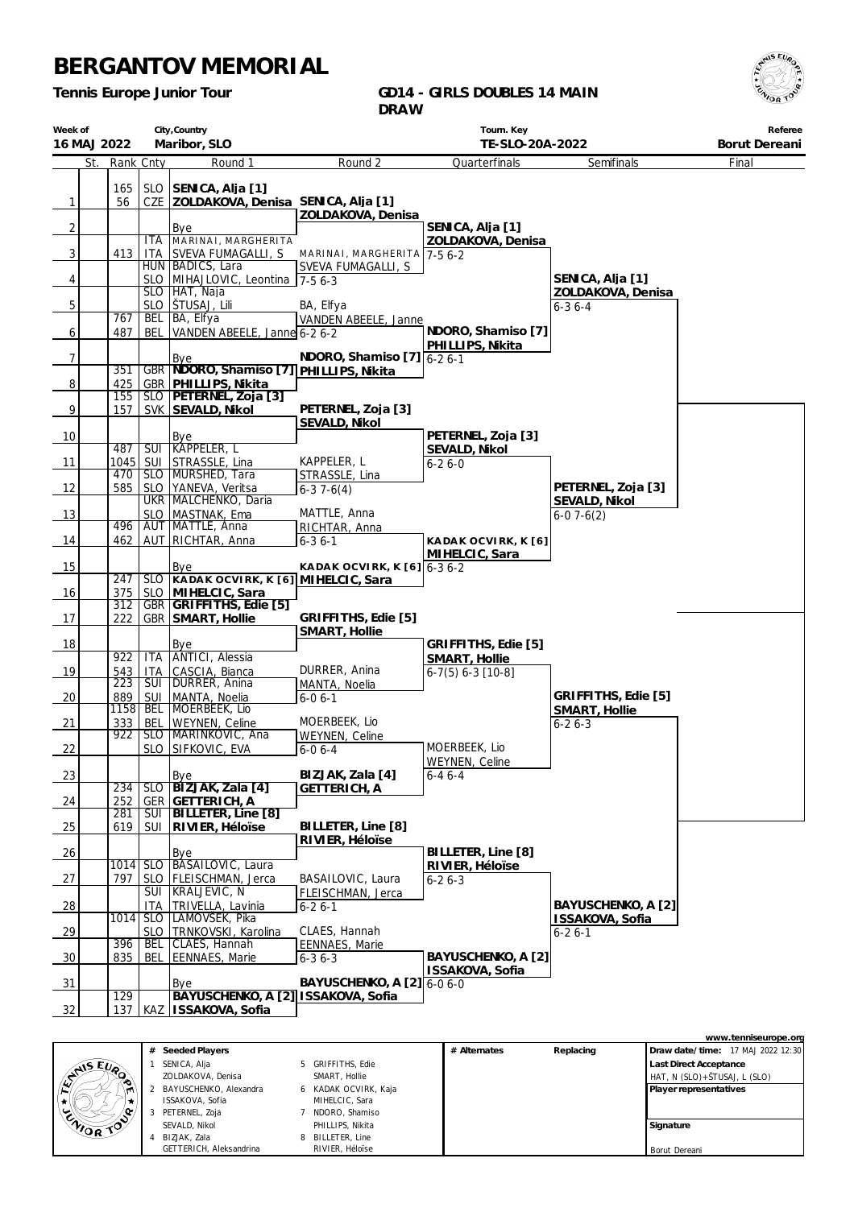**City,Country**

*Tennis Europe Junior Tour*

**Week of**

#### **GD14 - GIRLS DOUBLES 14 MAIN DRAW**

**Tourn. Key**

| 16 MAJ 2022     |     |                  |            | Maribor, SLO                            |                                        | TE-SLO-20A-2022     |                    | Borut Dereani |
|-----------------|-----|------------------|------------|-----------------------------------------|----------------------------------------|---------------------|--------------------|---------------|
|                 | St. | Rank Cnty        |            | Round 1                                 | Round 2                                | Quarterfinals       | Semifinals         | Final         |
|                 |     | 165              |            | SLO SENICA, Alja [1]                    |                                        |                     |                    |               |
| 1               |     | 56               |            | CZE ZOLDAKOVA, Denisa SENICA, Alja [1]  |                                        |                     |                    |               |
|                 |     |                  |            |                                         | ZOLDAKOVA, Denisa                      |                     |                    |               |
| $\overline{2}$  |     |                  |            | Bye                                     |                                        | SENICA, Alja [1]    |                    |               |
|                 |     |                  | <b>ITA</b> | MARINAI, MARGHERITA                     |                                        | ZOLDAKOVA, Denisa   |                    |               |
| $\overline{3}$  |     | 413              |            | ITA SVEVA FUMAGALLI, S                  | MARINAI, MARGHERITA 7-56-2             |                     |                    |               |
|                 |     |                  |            | HUN BADICS, Lara                        | SVEVA FUMAGALLI, S                     |                     |                    |               |
| $\vert 4 \vert$ |     |                  |            | SLO MIHAJLOVIC, Leontina 7-5 6-3        |                                        |                     | SENICA, Alja [1]   |               |
|                 |     |                  |            | SLO HAT, Naja                           |                                        |                     | ZOLDAKOVA, Denisa  |               |
| 5               |     |                  |            | SLO   ŠTUSAJ, Lili                      | BA, Elfya                              |                     | $6 - 36 - 4$       |               |
|                 |     | 767              | <b>BEL</b> | BA, Elfva                               | VANDEN ABEELE, Janne                   |                     |                    |               |
| $6 \mid$        |     | 487              | <b>BEL</b> | VANDEN ABEELE, Janne 6-2 6-2            |                                        | NDORO, Shamiso [7]  |                    |               |
|                 |     |                  |            |                                         |                                        | PHILLIPS, Nikita    |                    |               |
| 7               |     |                  |            | Bye                                     | NDORO, Shamiso $[7]\overline{6-2}$ 6-1 |                     |                    |               |
|                 |     | 351              |            | GBR NDORO, Shamiso [7] PHILLIPS, Nikita |                                        |                     |                    |               |
| 8 <sup>1</sup>  |     | 425              |            | GBR   PHILLIPS, Nikita                  |                                        |                     |                    |               |
|                 |     | 155              |            | SLO PETERNEL, Zoja [3]                  | PETERNEL, Zoja [3]                     |                     |                    |               |
| 9               |     | 157              |            | SVK SEVALD, Nikol                       |                                        |                     |                    |               |
|                 |     |                  |            |                                         | SEVALD, Nikol                          | PETERNEL, Zoja [3]  |                    |               |
| 10              |     | 487              |            | Bye<br>SUI KAPPELER, L                  |                                        | SEVALD, Nikol       |                    |               |
| 11              |     |                  |            | 1045   SUI STRASSLE, Lina               | KAPPELER, L                            | $6 - 26 - 0$        |                    |               |
|                 |     | 470              |            | SLO MURSHED, Tara                       | STRASSLE, Lina                         |                     |                    |               |
| 12              |     | 585              |            | SLO   YANEVA, Veritsa                   | $6-37-6(4)$                            |                     | PETERNEL, Zoja [3] |               |
|                 |     |                  |            | UKR MALCHENKO, Daria                    |                                        |                     | SEVALD, Nikol      |               |
| 13              |     |                  |            | SLO MASTNAK, Ema                        | MATTLE, Anna                           |                     | $6-07-6(2)$        |               |
|                 |     |                  |            | 496   AUT   MATTLE, Anna                | RICHTAR, Anna                          |                     |                    |               |
| 14              |     |                  |            | 462   AUT   RICHTAR, Anna               | $6 - 36 - 1$                           | KADAK OCVIRK, K [6] |                    |               |
|                 |     |                  |            |                                         |                                        | MIHELCIC, Sara      |                    |               |
| 15              |     |                  |            | Bye                                     | KADAK OCVIRK, K $[6]$ 6-3 6-2          |                     |                    |               |
|                 |     | 247              |            | SLO KADAK OCVIRK, K [6] MIHELCIC, Sara  |                                        |                     |                    |               |
| 16              |     | 375              |            | SLO MIHELCIC, Sara                      |                                        |                     |                    |               |
|                 |     | 312              |            | GBR GRIFFITHS, Edie [5]                 | GRIFFITHS, Edie [5]                    |                     |                    |               |
| 17              |     | 222              |            | GBR SMART, Hollie                       | SMART, Hollie                          |                     |                    |               |
| 18              |     |                  |            | Bye                                     |                                        | GRIFFITHS, Edie [5] |                    |               |
|                 |     | 922              | <b>ITA</b> | ANTICI, Alessia                         |                                        | SMART, Hollie       |                    |               |
| 19              |     | 543              | <b>ITA</b> | CASCIA, Bianca                          | DURRER, Anina                          | $6-7(5) 6-3 [10-8]$ |                    |               |
|                 |     | $\overline{223}$ |            | SUI   DURRER, Anina                     | MANTA, Noelia                          |                     |                    |               |
|                 |     |                  |            |                                         |                                        |                     |                    |               |

 $18$ 19 20 889 <u>sui</u> MANTA, Noelia 21 333 1158 BEL MOERBEEK, Lio  $rac{BEL}{SLO}$ WEYNEN, Celine 22  $\frac{888}{922}$ SLO SLO |MARINKOVIC, Ana SIFKOVIC, EVA  $\begin{array}{|c|c|c|c|c|}\n\hline\n23 & 234 & \text{SLO} & \text{B}12 \\
\hline\n\end{array}$ 24 252 234 **GER**<br>SUI SLO **BIZJAK, Zala [4] GETTERICH, A** 25 619 281 SUI SUI **BILLETER, Line [8] RIVIER, Héloïse**  $26$  Bye  $27$  797 1014 SLO  $rac{\text{SLO}}{\text{SIII}}$ BASAILOVIC, Laura FLEISCHMAN, Jerca 28 | ITA<br>| 1014 | SLO KRALJEVIC, N TRIVELLA, Lavinia 29 1014 SLO<br>RFI SLO LAMOVŠEK, Pika TRNKOVSKI, Karolina 30 835 396 BEL CLAES, Hannah EENNAES, Marie  $31$   $\vert$   $\vert$   $\vert$   $\vert$  Bye  $32$  137 129 KAZ **ISSAKOVA, Sofia BAYUSCHENKO, A [2] ISSAKOVA, Sofia**  $6 - 06 - 1$ MOERBEEK, Lio WEYNEN, Celine 6-0 6-4 **BIZJAK, Zala [4] GETTERICH, A BILLETER, Line [8] RIVIER, Héloïse** BASAILOVIC, Laura FLEISCHMAN, Jerca  $6 - 26 - 1$ CLAES, Hannah EENNAES, Marie 6-3 6-3 **BAYUSCHENKO, A [2]** 6-0 6-0 MOERBEEK, Lio WEYNEN, Celine 6-4 6-4 **BILLETER, Line [8] RIVIER, Héloïse** 6-2 6-3 **BAYUSCHENKO, A [2] ISSAKOVA, Sofia GRIFFITHS, Edie [5] SMART, Hollie** 6-2 6-3 **BAYUSCHENKO, A [2] ISSAKOVA, Sofia** 6-2 6-1



| # Seeded Players         |   |                    | # Alternates | Replacing | Draw date/time: 17 MAJ 2022 12:30 |
|--------------------------|---|--------------------|--------------|-----------|-----------------------------------|
| SENICA, Alja             |   | 5 GRIFFITHS, Edie  |              |           | <b>Last Direct Acceptance</b>     |
| ZOLDAKOVA, Denisa        |   | SMART, Hollie      |              |           | HAT, N (SLO)+ŠTUSAJ, L (SLO)      |
| 2 BAYUSCHENKO, Alexandra | 6 | KADAK OCVIRK, Kaja |              |           | Player representatives            |
| ISSAKOVA, Sofia          |   | MIHELCIC, Sara     |              |           |                                   |
| 3 PETERNEL, Zoja         |   | NDORO, Shamiso     |              |           |                                   |
| SEVALD, Nikol            |   | PHILLIPS, Nikita   |              |           | Signature                         |
| 4 BIZJAK, Zala           | 8 | BILLETER, Line     |              |           |                                   |
| GETTERICH, Aleksandrina  |   | RIVIER, Héloise    |              |           | Borut Dereani                     |



**Referee**

**www.tenniseurope.org**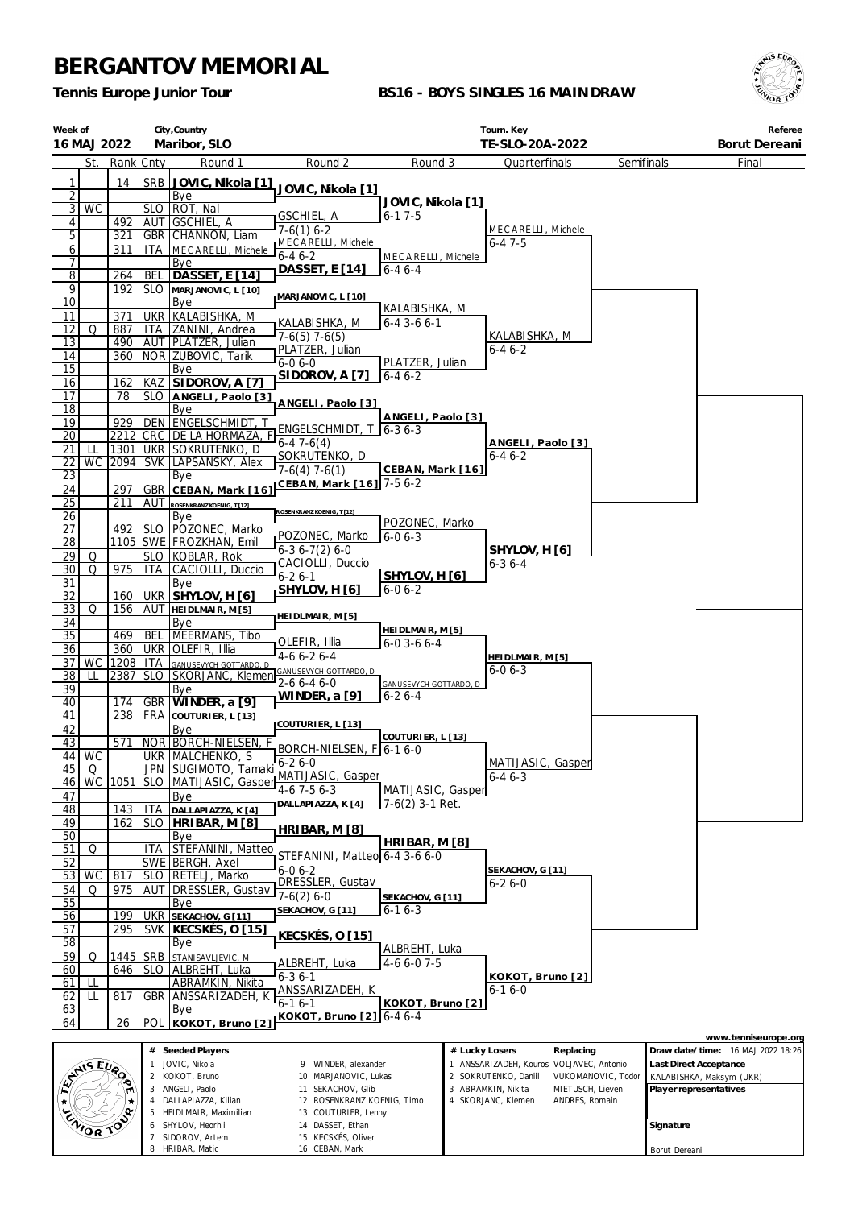7 SIDOROV, Artem 8 HRIBAR, Matic

15 KECSKÉS, Oliver 16 CEBAN, Mark

*Tennis Europe Junior Tour*

### **BS16 - BOYS SINGLES 16 MAINDRAW**



Borut Dereani

| Week of<br>16 MAJ 2022 |           |            |                          | City, Country<br>Maribor, SLO                  |                                                   |                                        |                | Tourn. Key<br>TE-SLO-20A-2022                                  |                    |                        | Referee<br>Borut Dereani                           |
|------------------------|-----------|------------|--------------------------|------------------------------------------------|---------------------------------------------------|----------------------------------------|----------------|----------------------------------------------------------------|--------------------|------------------------|----------------------------------------------------|
|                        | St.       | Rank Cnty  |                          | Round 1                                        | Round <sub>2</sub>                                | Round 3                                |                | Quarterfinals                                                  | Semifinals         |                        | Final                                              |
| 1                      |           | 14         | SRB                      | JOVIC, Nikola [1]                              |                                                   |                                        |                |                                                                |                    |                        |                                                    |
| $\overline{2}$         |           |            |                          | Bye                                            | JOVIC, Nikola [1]                                 | JOVIC, Nikola [1]                      |                |                                                                |                    |                        |                                                    |
| 3                      | WC        |            | <b>SLO</b>               | ROT, Nal                                       | GSCHIEL, A                                        | $6 - 17 - 5$                           |                |                                                                |                    |                        |                                                    |
| 4<br>5                 |           | 492<br>321 | AUT<br>GBR               | <b>GSCHIEL, A</b><br>CHANNON, Liam             | $7-6(1)$ 6-2                                      |                                        |                | MECARELLI, Michele                                             |                    |                        |                                                    |
| 6                      |           | 311        | ITA.                     | MECARELLI, Michele                             | MECARELLI, Michele<br>$6-46-2$                    |                                        |                | 6-47-5                                                         |                    |                        |                                                    |
| 7                      |           |            |                          | Bye                                            | DASSET, E [14]                                    | MECARELLI, Michele<br>$6 - 46 - 4$     |                |                                                                |                    |                        |                                                    |
| $\overline{8}$<br>9    |           | 264<br>192 | <b>BEL</b><br><b>SLO</b> | DASSET, E [14]                                 |                                                   |                                        |                |                                                                |                    |                        |                                                    |
| 10                     |           |            |                          | MARJANOVIC, L [10]<br>Bye                      | MARJANOVIC, L [10]                                |                                        |                |                                                                |                    |                        |                                                    |
| 11                     |           | 371        | <b>UKR</b>               | KALABISHKA, M                                  |                                                   | KALABISHKA, M<br>$6 - 4$ 3 - 6 $6 - 1$ |                |                                                                |                    |                        |                                                    |
| 12                     | Q         | 887        | ITA                      | ZANINI, Andrea                                 | KALABISHKA, M<br>$7-6(5)$ 7-6(5)                  |                                        |                | KALABISHKA, M                                                  |                    |                        |                                                    |
| 13<br>14               |           | 490<br>360 | AUT                      | PLATZER, Julian<br>NOR ZUBOVIC, Tarik          | PLATZER, Julian                                   |                                        |                | 6-4 6-2                                                        |                    |                        |                                                    |
| 15                     |           |            |                          | Bye                                            | $6 - 06 - 0$                                      | PLATZER, Julian                        |                |                                                                |                    |                        |                                                    |
| 16                     |           | 162        | KAZ                      | SIDOROV, A [7]                                 | SIDOROV, A [7]                                    | $6 - 46 - 2$                           |                |                                                                |                    |                        |                                                    |
| 17                     |           | 78         | <b>SLO</b>               | ANGELI, Paolo [3]                              | ANGELI, Paolo [3]                                 |                                        |                |                                                                |                    |                        |                                                    |
| 18<br>19               |           | 929        | <b>DEN</b>               | Bye<br>ENGELSCHMIDT, T                         |                                                   | ANGELI, Paolo [3]                      |                |                                                                |                    |                        |                                                    |
| 20                     |           | 2212       | CRC                      | DE LA HORMAZA, F                               | ENGELSCHMIDT, T                                   | 6-36-3                                 |                |                                                                |                    |                        |                                                    |
| 21                     | LL        | 1301       |                          | UKR SOKRUTENKO, D                              | $6-47-6(4)$                                       |                                        |                | ANGELI, Paolo [3]<br>6-4 6-2                                   |                    |                        |                                                    |
| 22                     | WC        | 2094       | <b>SVK</b>               | LAPSANSKY, Alex                                | SOKRUTENKO, D<br>$7-6(4)$ 7-6(1)                  | CEBAN, Mark [16]                       |                |                                                                |                    |                        |                                                    |
| <u>23</u>              |           |            |                          | Bye                                            | CEBAN, Mark [16] 7-5 6-2                          |                                        |                |                                                                |                    |                        |                                                    |
| 24<br>25               |           | 297<br>211 | <b>GBR</b><br>AUT        | CEBAN, Mark [16]<br>ROSENKRANZ KOENIG, T [12]  |                                                   |                                        |                |                                                                |                    |                        |                                                    |
| 26                     |           |            |                          | Bye                                            | OSENKRANZ KOENIG, T [12]                          |                                        |                |                                                                |                    |                        |                                                    |
| 27                     |           | 492        | <b>SLO</b>               | POZONEC, Marko                                 | POZONEC, Marko                                    | POZONEC, Marko<br>$6 - 06 - 3$         |                |                                                                |                    |                        |                                                    |
| 28                     |           |            |                          | 1105 SWE FROZKHAN, Emil                        | $6-36-7(2)6-0$                                    |                                        |                | SHYLOV, H [6]                                                  |                    |                        |                                                    |
| 29<br>30               | Q<br>Q    | 975        | <b>SLO</b><br>ITA        | KOBLAR, Rok<br>CACIOLLI, Duccio                | CACIOLLI, Duccio                                  |                                        |                | 6-3 6-4                                                        |                    |                        |                                                    |
| 31                     |           |            |                          | Bye                                            | $6 - 26 - 1$                                      | SHYLOV, H [6]                          |                |                                                                |                    |                        |                                                    |
| 32                     |           | 160        |                          | UKR SHYLOV, H [6]                              | SHYLOV, H [6]                                     | $6 - 06 - 2$                           |                |                                                                |                    |                        |                                                    |
| <u>33</u>              | Q         | 156        |                          | AUT HEIDLMAIR, M[5]                            | HEI DLMAIR, M [5]                                 |                                        |                |                                                                |                    |                        |                                                    |
| 34<br>35               |           | 469        | <b>BEL</b>               | Bye<br>MEERMANS, Tibo                          |                                                   | HEI DLMAIR, M [5]                      |                |                                                                |                    |                        |                                                    |
| 36                     |           | 360        | <b>UKR</b>               | OLEFIR, Illia                                  | OLEFIR, Illia<br>$4-66-26-4$                      | $6 - 0$ 3 - 6 $6 - 4$                  |                |                                                                |                    |                        |                                                    |
| 37                     | WC        | 1208   ITA |                          | GANUSEVYCH GOTTARDO, D                         | GANUSEVYCH GOTTARDO, D                            |                                        |                | HEIDLMAIR, M [5]<br>$6 - 06 - 3$                               |                    |                        |                                                    |
| 38<br>39               | LL        | 2387       | <b>SLO</b>               | SKORJANC, Klemen<br>Bye                        | 2-6 6-4 6-0                                       | GANUSEVYCH GOTTARDO, D                 |                |                                                                |                    |                        |                                                    |
| 40                     |           | 174        | <b>GBR</b>               | WINDER, a [9]                                  | WINDER, a [9]                                     | $6 - 26 - 4$                           |                |                                                                |                    |                        |                                                    |
| 41                     |           | 238        | FRA                      | COUTURIER, L [13]                              |                                                   |                                        |                |                                                                |                    |                        |                                                    |
| 42                     |           |            |                          | Bye                                            | COUTURIER, L [13]                                 | COUTURIER, L [13]                      |                |                                                                |                    |                        |                                                    |
| 43                     | 44 WC     | 571        |                          | NOR BORCH-NIELSEN, F<br>UKR MALCHENKO, S       | BORCH-NIELSEN, F 6-1 6-0                          |                                        |                |                                                                |                    |                        |                                                    |
| 45                     | Q         |            |                          | JPN SUGIMOTO, Tamaki                           | $6 - 26 - 0$                                      |                                        |                | MATIJASIC, Gasper                                              |                    |                        |                                                    |
| 46                     | <b>WC</b> | 1051       |                          | SLO   MATIJASIC, Gasper                        | MATIJASIC, Gasper<br>$4-6$ 7 $-5$ 6 $-3$          | MATIJASIC, Gasper                      |                | $6 - 46 - 3$                                                   |                    |                        |                                                    |
| 47                     |           |            |                          | Bye                                            | DALLAPIAZZA, K [4]                                | 7-6(2) 3-1 Ret.                        |                |                                                                |                    |                        |                                                    |
| 48<br>49               |           | 143<br>162 | ITA<br><b>SLO</b>        | DALLAPIAZZA, K [4]<br>HRIBAR, M [8]            |                                                   |                                        |                |                                                                |                    |                        |                                                    |
| 50                     |           |            |                          | Bye                                            | HRIBAR, M [8]                                     |                                        |                |                                                                |                    |                        |                                                    |
| 51                     | Q         |            | ITA                      | STEFANINI, Matteo                              | STEFANINI, Matteo 6-4 3-6 6-0                     | HRIBAR, M [8]                          |                |                                                                |                    |                        |                                                    |
| 52<br>53               | WC        | 817        |                          | SWE BERGH, Axel<br>RETELJ, Marko               | $6 - 06 - 2$                                      |                                        |                | SEKACHOV, G [11]                                               |                    |                        |                                                    |
| 54                     | Q         | 975        | <b>SLO</b><br>AUT        | DRESSLER, Gustav                               | DRESSLER, Gustav                                  |                                        |                | 6-2 6-0                                                        |                    |                        |                                                    |
| 55                     |           |            |                          | Bye                                            | $7-6(2) 6-0$                                      | SEKACHOV, G [11]                       |                |                                                                |                    |                        |                                                    |
| 56                     |           | 199        | <b>UKR</b>               | SEKACHOV, G [11]                               | SEKACHOV, G [11]                                  | $6 - 16 - 3$                           |                |                                                                |                    |                        |                                                    |
| 57                     |           | 295        | <b>SVK</b>               | KECSKÉS, O [15]                                | <u>KECSKÉS, O [15]</u>                            |                                        |                |                                                                |                    |                        |                                                    |
| 58<br>59               | Q         | 1445   SRB |                          | Bye<br>STANISAVLJEVIC, M                       |                                                   | ALBREHT, Luka                          |                |                                                                |                    |                        |                                                    |
| 60                     |           | 646        | <b>SLO</b>               | ALBREHT, Luka                                  | ALBREHT, Luka                                     | $4-66-07-5$                            |                |                                                                |                    |                        |                                                    |
| 61                     | LL        |            |                          | ABRAMKIN, Nikita                               | $6 - 36 - 1$<br>ANSSARIZADEH, K                   |                                        |                | KOKOT, Bruno [2]<br>$6 - 16 - 0$                               |                    |                        |                                                    |
| 62<br>63               | LL        | 817        | <b>GBR</b>               | ANSSARIZADEH, K<br>Bye                         | $6 - 16 - 1$                                      | KOKOT, Bruno [2]                       |                |                                                                |                    |                        |                                                    |
| 64                     |           | 26         | POL                      | KOKOT, Bruno [2]                               | KOKOT, Bruno [2] 6-4 6-4                          |                                        |                |                                                                |                    |                        |                                                    |
|                        |           |            |                          |                                                |                                                   |                                        |                |                                                                |                    |                        | www.tenniseurope.org                               |
|                        |           |            |                          | # Seeded Players                               |                                                   |                                        | # Lucky Losers |                                                                | Replacing          |                        | Draw date/time: 16 MAJ 2022 18:26                  |
| ENISEURO               |           |            | 1<br>2                   | JOVIC, Nikola<br>KOKOT, Bruno                  | 9 WINDER, alexander<br>10 MARJANOVIC, Lukas       |                                        |                | ANSSARIZADEH, Kouros VOLJAVEC, Antonio<br>2 SOKRUTENKO, Daniil | VUKOMANOVIC, Todor |                        | Last Direct Acceptance<br>KALABISHKA, Maksym (UKR) |
|                        |           |            |                          | 3 ANGELI, Paolo                                | 11 SEKACHOV, Glib                                 |                                        |                | ABRAMKIN, Nikita                                               | MIETUSCH, Lieven   | Player representatives |                                                    |
|                        |           |            | 4                        | DALLAPIAZZA, Kilian<br>5 HEIDLMAIR, Maximilian | 12 ROSENKRANZ KOENIG, Timo<br>13 COUTURIER, Lenny |                                        |                | 4 SKORJANC, Klemen                                             | ANDRES, Romain     |                        |                                                    |
|                        | ENIOR TO  |            | 6                        | SHYLOV, Heorhii                                | 14 DASSET, Ethan                                  |                                        |                |                                                                |                    | Signature              |                                                    |
|                        |           |            |                          | SIDOROV Artem                                  | 15 KFCSKES Oliver                                 |                                        |                |                                                                |                    |                        |                                                    |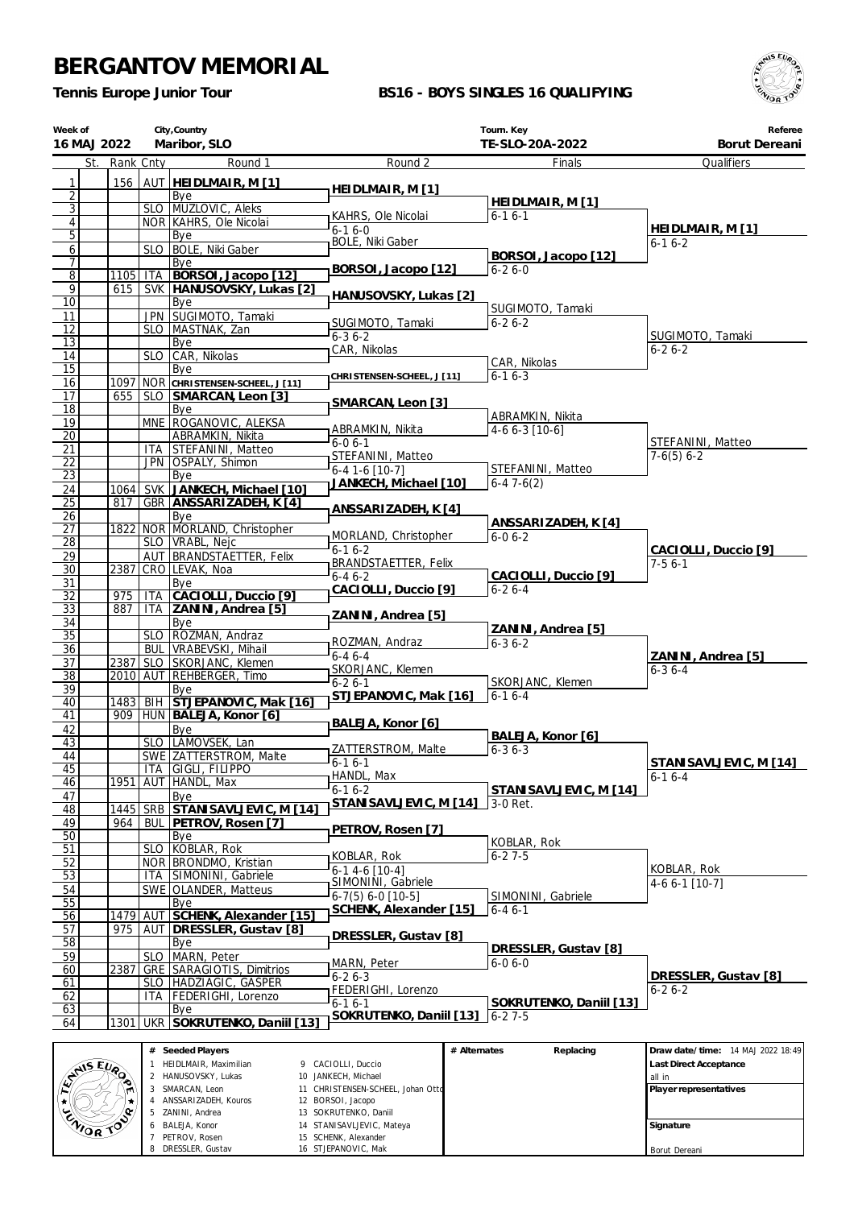ZANINI, Andrea BALEJA, Konor PETROV, Rosen DRESSLER, Gustav

 SOKRUTENKO, Daniil STANISAVLJEVIC, Mateya SCHENK, Alexander STJEPANOVIC, Mak

*Tennis Europe Junior Tour*

### **BS16 - BOYS SINGLES 16 QUALIFYING**



**Signature** Borut Dereani

| Week of<br>16 MAJ 2022 |             |            | City, Country<br>Maribor, SLO                  |                                            | Tourn. Key<br>TE-SLO-20A-2022        | Referee<br>Borut Dereani          |
|------------------------|-------------|------------|------------------------------------------------|--------------------------------------------|--------------------------------------|-----------------------------------|
| St.                    | Rank Cnty   |            | Round 1                                        | Round 2                                    | Finals                               | Qualifiers                        |
| 1                      | 156         |            | AUT <b>HEIDLMAIR, M[1]</b>                     |                                            |                                      |                                   |
| $\overline{2}$         |             |            | Bye                                            | HEIDLMAIR, M [1]                           |                                      |                                   |
| $\overline{3}$         |             |            | SLO MUZLOVIC, Aleks                            | KAHRS, Ole Nicolai                         | HEIDLMAIR, M [1]<br>$6 - 16 - 1$     |                                   |
| $\overline{4}$         |             |            | NOR KAHRS, Ole Nicolai                         | $6-16-0$                                   |                                      | HEIDLMAIR, M [1]                  |
| 5<br>$\mathbf{6}$      |             |            | Bye<br>SLO   BOLE, Niki Gaber                  | <b>BOLE, Niki Gaber</b>                    |                                      | $6 - 16 - 2$                      |
| 7                      |             |            | Bye                                            |                                            | BORSOI, Jacopo [12]                  |                                   |
| $\overline{8}$         | 1105        |            | ITA BORSOI, Jacopo [12]                        | BORSOI, Jacopo [12]                        | $6 - 26 - 0$                         |                                   |
| 9<br>10                | 615         |            | SVK   HANUSOVSKY, Lukas [2]                    | HANUSOVSKY, Lukas [2]                      |                                      |                                   |
| 11                     |             |            | Bye<br>JPN SUGIMOTO, Tamaki                    |                                            | SUGIMOTO, Tamaki                     |                                   |
| 12                     |             |            | SLO   MASTNAK, Zan                             | SUGIMOTO, Tamaki                           | $6 - 26 - 2$                         |                                   |
| 13                     |             |            | Bye                                            | $6 - 36 - 2$<br>CAR, Nikolas               |                                      | SUGIMOTO, Tamaki<br>$6 - 26 - 2$  |
| 14                     |             |            | SLO CAR, Nikolas                               |                                            | CAR, Nikolas                         |                                   |
| 15<br>16               |             |            | Bye<br>1097 NOR CHRISTENSEN-SCHEEL, J [11]     | CHRISTENSEN-SCHEEL, J [11]                 | $6 - 16 - 3$                         |                                   |
| 17                     | 655         |            | SLO SMARCAN, Leon [3]                          |                                            |                                      |                                   |
| 18                     |             |            | Bye                                            | SMARCAN, Leon [3]                          | ABRAMKIN, Nikita                     |                                   |
| 19                     |             |            | MNE ROGANOVIC, ALEKSA                          | ABRAMKIN, Nikita                           | 4-6 6-3 [10-6]                       |                                   |
| 20<br>21               |             |            | ABRAMKIN, Nikita<br>ITA STEFANINI, Matteo      | $6-06-1$                                   |                                      | STEFANINI, Matteo                 |
| 22                     |             |            | JPN OSPALY, Shimon                             | STEFANINI, Matteo                          |                                      | $7-6(5)$ 6-2                      |
| 23                     |             |            | Bye                                            | $6-4$ 1-6 [10-7]<br>JANKECH, Michael [10]  | STEFANINI, Matteo<br>$6-47-6(2)$     |                                   |
| 24                     | 1064        |            | SVK JANKECH, Michael [10]                      |                                            |                                      |                                   |
| $\overline{25}$<br>26  | 817         |            | GBR ANSSARIZADEH, K [4]<br>Bye                 | ANSSARIZADEH, K [4]                        |                                      |                                   |
| 27                     | 1822        |            | NOR MORLAND, Christopher                       |                                            | ANSSARIZADEH, K [4]                  |                                   |
| 28                     |             |            | SLO   VRABL, Nejc                              | MORLAND, Christopher<br>$6 - 16 - 2$       | $6 - 06 - 2$                         |                                   |
| 29                     |             |            | AUT BRANDSTAETTER, Felix                       | <b>BRANDSTAETTER, Felix</b>                |                                      | CACIOLLI, Duccio [9]<br>$7-56-1$  |
| 30                     | 2387        |            | CRO LEVAK, Noa                                 | $6 - 46 - 2$                               | CACIOLLI, Duccio [9]                 |                                   |
| 31<br>$\overline{32}$  | 975         | <b>ITA</b> | Bye<br>CACIOLLI, Duccio [9]                    | CACIOLLI, Duccio [9]                       | $6 - 26 - 4$                         |                                   |
| 33                     | 887         |            | ITA ZANINI, Andrea [5]                         |                                            |                                      |                                   |
| 34                     |             |            | Bye                                            | ZANINI, Andrea [5]                         | ZANINI, Andrea [5]                   |                                   |
| 35<br>36               |             | <b>BUL</b> | SLO ROZMAN, Andraz<br>VRABEVSKI, Mihail        | ROZMAN, Andraz                             | $6 - 36 - 2$                         |                                   |
| 37                     | 2387        |            | SLO SKORJANC, Klemen                           | $6 - 46 - 4$                               |                                      | ZANINI, Andrea [5]                |
| 38                     |             |            | 2010 AUT REHBERGER, Timo                       | SKORJANC, Klemen<br>$6 - 26 - 1$           | SKORJANC, Klemen                     | $6 - 36 - 4$                      |
| 39                     |             |            | Bye                                            | STJEPANOVIC, Mak [16]                      | $6-16-4$                             |                                   |
| 40<br>41               | 1483<br>909 | <b>BIH</b> | STJEPANOVIC, Mak [16]<br>HUN BALEJA, Konor [6] |                                            |                                      |                                   |
| 42                     |             |            | Bye                                            | BALEJA, Konor [6]                          |                                      |                                   |
| 43                     |             |            | SLO LAMOVSEK, Lan                              |                                            | BALEJA, Konor [6]                    |                                   |
| 44                     |             |            | SWE ZATTERSTROM, Malte                         | ZATTERSTROM, Malte<br>$6 - 16 - 1$         | $6 - 36 - 3$                         | STANISAVLJEVIC, M [14]            |
| 45<br>46               | 1951        | AUT        | ITA GIGLI, FILIPPO<br>HANDL, Max               | HANDL, Max                                 |                                      | $6 - 16 - 4$                      |
| 47                     |             |            | Bye                                            | $6 - 16 - 2$                               | STANISAVLJEVIC, M [14]               |                                   |
| 48                     | 1445        | SRB        | STANISAVLJEVIC, M [14]                         | STANISAVLJEVIC, M [14]                     | 3-0 Ret.                             |                                   |
| 49                     | 964         | <b>BUL</b> | PETROV, Rosen [7]                              | PETROV, Rosen [7]                          |                                      |                                   |
| 50<br>51               |             | SLO.       | Bye<br>KOBLAR, Rok                             |                                            | KOBLAR, Rok                          |                                   |
| 52                     |             |            | NOR   BRONDMO, Kristian                        | KOBLAR, Rok                                | $6 - 27 - 5$                         |                                   |
| 53                     |             |            | ITA SIMONINI, Gabriele                         | $6-1$ 4-6 [10-4]<br>SIMONINI, Gabriele     |                                      | KOBLAR, Rok                       |
| 54                     |             |            | SWE OLANDER, Matteus                           | $6-7(5) 6-0$ [10-5]                        | SIMONINI, Gabriele                   | 4-6 6-1 [10-7]                    |
| 55<br>56               | 1479        |            | Bye<br>AUT SCHENK, Alexander [15]              | SCHENK, Alexander [15]                     | $6 - 46 - 1$                         |                                   |
| 57                     | 975         |            | AUT   DRESSLER, Gustav [8]                     |                                            |                                      |                                   |
| 58                     |             |            | Bye                                            | DRESSLER, Gustav [8]                       |                                      |                                   |
| 59                     |             |            | SLO MARN, Peter                                | MARN, Peter                                | DRESSLER, Gustav [8]<br>$6 - 06 - 0$ |                                   |
| 60                     | 2387        |            | GRE SARAGIOTIS, Dimitrios                      | $6 - 26 - 3$                               |                                      | DRESSLER, Gustav [8]              |
| 61<br>62               |             | ITA        | SLO HADŽIAGIC, GAŠPER<br>FEDERIGHI, Lorenzo    | FEDERIGHI, Lorenzo                         |                                      | $6 - 26 - 2$                      |
| 63                     |             |            | Bye                                            | $6 - 16 - 1$                               | SOKRUTENKO, Daniil [13]              |                                   |
| 64                     | 1301        |            | UKR SOKRUTENKO, Daniil [13]                    | SOKRUTENKO, Daniil [13]                    | $6 - 27 - 5$                         |                                   |
|                        |             |            |                                                |                                            |                                      |                                   |
|                        |             |            | # Seeded Players                               |                                            | # Alternates<br>Replacing            | Draw date/time: 14 MAJ 2022 18:49 |
| <b>ANISEURO</b>        |             | 1.         | HEIDLMAIR, Maximilian<br>2 HANUSOVSKY, Lukas   | 9 CACIOLLI, Duccio<br>10 JANKECH, Michael  |                                      | Last Direct Acceptance<br>all in  |
|                        |             |            | SMARCAN, Leon                                  | 11 CHRISTENSEN-SCHEEL, Johan Ottd          |                                      | Player representatives            |
| $\bigstar$             |             | 5          | ANSSARIZADEH, Kouros<br>ZANINI, Andrea         | 12 BORSOI, Jacopo<br>13 SOKRUTENKO, Daniil |                                      |                                   |
| ENORTO                 |             |            | BALEJA, Konor                                  | 14 STANISAVLJEVIC, Mateya                  |                                      | Signature                         |
|                        |             |            | PETROV. Rosen                                  | 15 SCHENK, Alexander                       |                                      |                                   |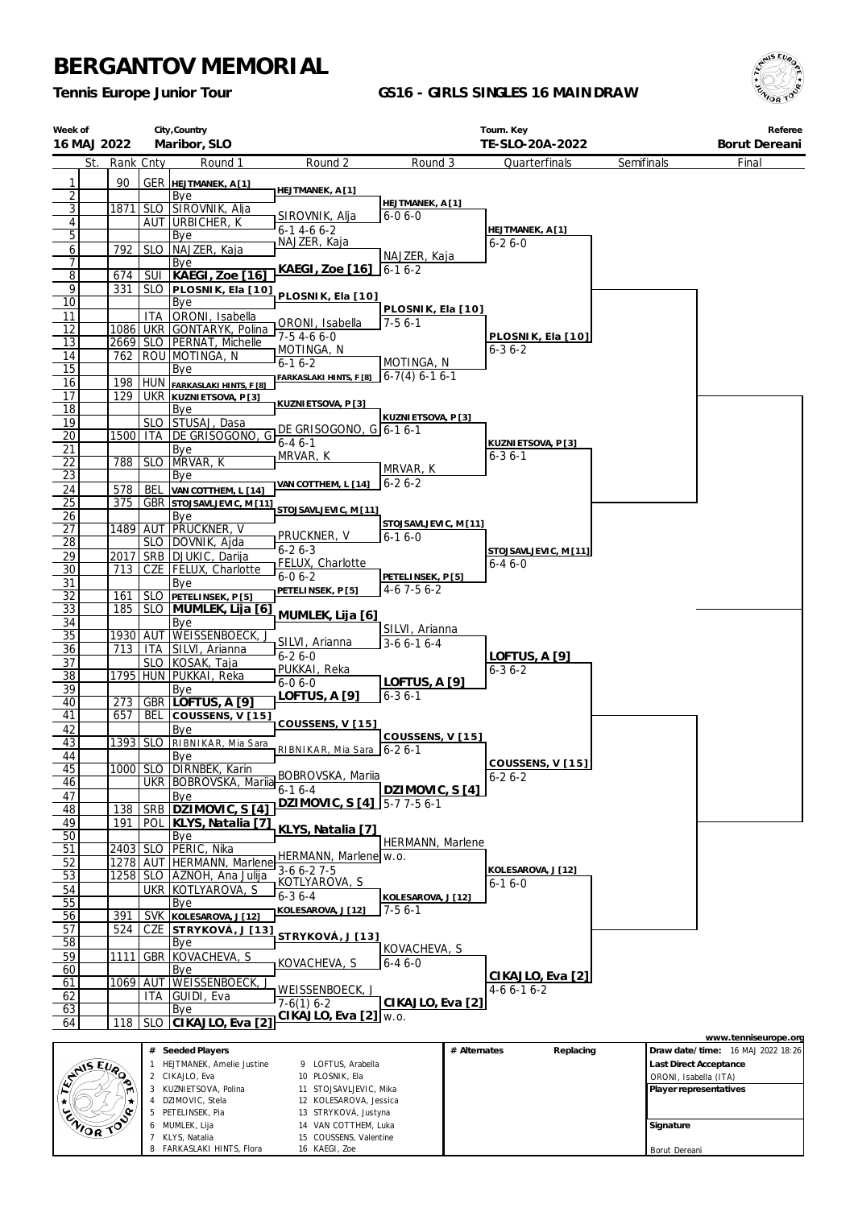PETELINSEK, Pia MUMLEK, Lija KLYS, Natalia 8 FARKASLAKI HINTS, Flora

 STRYKOVÁ, Justyna VAN COTTHEM, Luka COUSSENS, Valentine KAEGI, Zoe

*Tennis Europe Junior Tour*

### **GS16 - GIRLS SINGLES 16 MAINDRAW**



**Signature** Borut Dereani

| Week of<br>16 MAJ 2022 |            |                   | City, Country<br>Maribor, SLO                           |                                              |                                  |              | Tourn. Key<br>TE-SLO-20A-2022       |            |                       | Referee<br>Borut Dereani          |
|------------------------|------------|-------------------|---------------------------------------------------------|----------------------------------------------|----------------------------------|--------------|-------------------------------------|------------|-----------------------|-----------------------------------|
| St.                    | Rank Cnty  |                   | Round 1                                                 | Round 2                                      | Round 3                          |              | Quarterfinals                       | Semifinals |                       | Final                             |
| 1                      | 90         |                   | <b>GER HELTMANEK, A[1]</b>                              |                                              |                                  |              |                                     |            |                       |                                   |
| $\overline{2}$         |            |                   | Bye                                                     | HEJTMANEK, A [1]                             |                                  |              |                                     |            |                       |                                   |
| 3                      | 1871       |                   | SLO SIROVNIK, Alja                                      | SIROVNIK, Alja                               | HEJTMANEK, A [1]<br>$6 - 06 - 0$ |              |                                     |            |                       |                                   |
| 4                      |            |                   | AUT URBICHER, K                                         | $6 - 14 - 66 - 2$                            |                                  |              | HEJTMANEK, A [1]                    |            |                       |                                   |
| 5                      |            |                   | Bye                                                     | NAJZER, Kaja                                 |                                  |              | $6 - 26 - 0$                        |            |                       |                                   |
| $6 \overline{}$<br>7   | 792        | <b>SLO</b>        | NAJZER, Kaja<br>Bye                                     |                                              | NAJZER, Kaja                     |              |                                     |            |                       |                                   |
| $\overline{8}$         | 674        |                   | SUI   KAEGI, Zoe [16]                                   | KAEGI, Zoe [16] 6-1 6-2                      |                                  |              |                                     |            |                       |                                   |
| 9                      | 331        |                   | SLO   PLOSNIK, Ela [10]                                 | PLOSNIK, Ela [10]                            |                                  |              |                                     |            |                       |                                   |
| 10                     |            |                   | Bye                                                     |                                              | PLOSNIK, Ela [10]                |              |                                     |            |                       |                                   |
| 11                     |            | <b>ITA</b>        | ORONI, Isabella                                         | ORONI, Isabella                              | $7-56-1$                         |              |                                     |            |                       |                                   |
| 12<br><u>13</u>        |            |                   | 1086 UKR GONTARYK, Polina<br>2669 SLO PERNAT, Michelle  | 7-5 4-6 6-0                                  |                                  |              | PLOSNIK, Ela [10]                   |            |                       |                                   |
| 14                     | 762        |                   | ROU MOTINGA, N                                          | MOTINGA, N                                   |                                  |              | $6 - 36 - 2$                        |            |                       |                                   |
| 15                     |            |                   | Bye                                                     | $6 - 16 - 2$                                 | MOTINGA, N<br>$6-7(4)$ 6-1 6-1   |              |                                     |            |                       |                                   |
| 16                     | 198        |                   | HUN FARKASLAKI HINTS, F [8]                             | FARKASLAKI HINTS, F [8]                      |                                  |              |                                     |            |                       |                                   |
| 17                     | 129        |                   | <b>UKR KUZNIETSOVA, P[3]</b>                            | KUZNI ETSOVA, P [3]                          |                                  |              |                                     |            |                       |                                   |
| 18<br>19               |            |                   | Bye<br>SLO STUSAJ, Dasa                                 |                                              | KUZNIETSOVA, P [3]               |              |                                     |            |                       |                                   |
| 20                     | 1500       | ITA               | DE GRISOGONO<br>G                                       | DE GRISOGONO, G 6-1 6-1                      |                                  |              |                                     |            |                       |                                   |
| <u>21</u>              |            |                   | Bye                                                     | $6 - 46 - 1$                                 |                                  |              | KUZNI ETSOVA, P [3]<br>$6 - 36 - 1$ |            |                       |                                   |
| 22                     | 788        |                   | SLO MRVAR, K                                            | MRVAR, K                                     | MRVAR, K                         |              |                                     |            |                       |                                   |
| $\overline{23}$        |            |                   | Bye                                                     | VAN COTTHEM, L [14]                          | $6 - 26 - 2$                     |              |                                     |            |                       |                                   |
| 24<br>$\overline{25}$  | 578<br>375 | BEL               | VAN COTTHEM, L [14]<br><b>GBR</b> STOJSAVLJEVIC, M [11] |                                              |                                  |              |                                     |            |                       |                                   |
| 26                     |            |                   | Bye                                                     | STOJSAVLJEVIC, M [11]                        |                                  |              |                                     |            |                       |                                   |
| 27                     |            |                   | 1489 AUT PRUCKNER, V                                    |                                              | STOJSAVLJEVIC, M [11]            |              |                                     |            |                       |                                   |
| $\overline{28}$        |            |                   | SLO DOVNIK, Ajda                                        | PRUCKNER, V<br>$6 - 26 - 3$                  | $6 - 16 - 0$                     |              | STOJSAVLJEVIC, M [11]               |            |                       |                                   |
| 29                     | 2017       |                   | SRB DJUKIC, Darija                                      | FELUX, Charlotte                             |                                  |              | 6-4 6-0                             |            |                       |                                   |
| 30<br>31               | 713        |                   | CZE   FELUX, Charlotte<br>Bye                           | $6 - 06 - 2$                                 | PETELINSEK, P [5]                |              |                                     |            |                       |                                   |
| 32                     | 161        |                   | SLO PETELINSEK, P[5]                                    | PETELINSEK, P [5]                            | $4-6$ 7-5 6-2                    |              |                                     |            |                       |                                   |
| $\overline{33}$        | 185        |                   | SLO MUMLEK, Lija [6]                                    | MUMLEK, Lija [6]                             |                                  |              |                                     |            |                       |                                   |
| 34                     |            |                   | Bye                                                     |                                              | SILVI, Arianna                   |              |                                     |            |                       |                                   |
| 35                     | 1930 AUT   |                   | WEISSENBOECK,                                           | SILVI, Arianna                               | $3-66-16-4$                      |              |                                     |            |                       |                                   |
| 36<br>37               | 713        |                   | ITA SILVI, Arianna<br>SLO KOSAK, Taja                   | $6 - 26 - 0$                                 |                                  |              | LOFTUS, A [9]                       |            |                       |                                   |
| $\overline{38}$        |            |                   | 1795 HUN PUKKAI, Reka                                   | PUKKAI, Reka                                 |                                  |              | $6 - 36 - 2$                        |            |                       |                                   |
| 39                     |            |                   | Bye                                                     | $6-06-0$                                     | LOFTUS, A [9]                    |              |                                     |            |                       |                                   |
| 40                     | 273        | <b>GBR</b>        | LOFTUS, A [9]                                           | LOFTUS, A [9]                                | $6 - 36 - 1$                     |              |                                     |            |                       |                                   |
| 41                     | 657        | BEL               | COUSSENS, V [15]                                        | COUSSENS, V [15]                             |                                  |              |                                     |            |                       |                                   |
| 42<br>43               | 1393 SLO   |                   | Bye<br>RIBNIKAR, Mia Sara                               |                                              | COUSSENS, V [15]                 |              |                                     |            |                       |                                   |
| 44                     |            |                   | Bye                                                     | RIBNIKAR, Mia Sara 6-2 6-1                   |                                  |              |                                     |            |                       |                                   |
| 45                     |            |                   | 1000 SLO DIRNBEK, Karin                                 | BOBROVSKA, Mariia                            |                                  |              | COUSSENS, V [15]                    |            |                       |                                   |
| 46                     |            |                   | UKR   BOBROVSKA, Mariia                                 | $6-16-4$                                     | DZIMOVIC, S [4]                  |              | 6-2 6-2                             |            |                       |                                   |
| 47                     |            |                   | Bye                                                     | DZIMOVIC, S [4] 5-7 7-5 6-1                  |                                  |              |                                     |            |                       |                                   |
| 48<br>49               | 138<br>191 | <b>SRB</b><br>POL | DZIMOVIC, S [4]<br>KLYS, Natalia [7]                    |                                              |                                  |              |                                     |            |                       |                                   |
| 50                     |            |                   | Bye                                                     | KLYS, Natalia [7]                            |                                  |              |                                     |            |                       |                                   |
| 51                     | 2403 SLO   |                   | PERIC, Nika                                             | HERMANN, Marlene w.o.                        | HERMANN, Marlene                 |              |                                     |            |                       |                                   |
| 52                     | 1278       | AUT               | HERMANN, Marlene                                        | $3-66-27-5$                                  |                                  |              | KOLESAROVA, J [12]                  |            |                       |                                   |
| 53                     | 12581      | SLO               | AZNOH, Ana Julija                                       | KOTLYAROVA, S                                |                                  |              | 6-1 6-0                             |            |                       |                                   |
| 54<br>55               |            | <b>UKR</b>        | KOTLYAROVA, S<br>Bye                                    | $6 - 36 - 4$                                 | KOLESAROVA, J [12]               |              |                                     |            |                       |                                   |
| 56                     | 391        | <b>SVK</b>        | KOLESAROVA, J [12]                                      | KOLESAROVA, J [12]                           | $7-56-1$                         |              |                                     |            |                       |                                   |
| 57                     | 524        | CZE               | STRYKOVÁ, J[13]                                         |                                              |                                  |              |                                     |            |                       |                                   |
| 58                     |            |                   | Bye                                                     | STRYKOVÁ, J[13]                              | KOVACHEVA, S                     |              |                                     |            |                       |                                   |
| 59                     | 1111       | GBR               | KOVACHEVA, S                                            | KOVACHEVA, S                                 | $6 - 46 - 0$                     |              |                                     |            |                       |                                   |
| 60<br>61               | 1069       | AUT               | Bye<br><b>WEISSENBOECK,</b>                             |                                              |                                  |              | CIKAJLO, Eva [2]                    |            |                       |                                   |
| 62                     |            | ITA               | GUIDI, Eva                                              | <u>WEISSENBOECK, J</u>                       |                                  |              | 4-6 6-1 6-2                         |            |                       |                                   |
| 63                     |            |                   | Bye                                                     | $7-6(1)$ 6-2                                 | CIKAJLO, Eva [2]                 |              |                                     |            |                       |                                   |
| 64                     | 118        | <b>SLO</b>        | CIKAJLO, Eva [2]                                        | CIKAJLO, Eva [2] w.o.                        |                                  |              |                                     |            |                       |                                   |
|                        |            |                   |                                                         |                                              |                                  |              |                                     |            |                       | www.tenniseurope.org              |
|                        |            |                   | # Seeded Players                                        |                                              |                                  | # Alternates | Replacing                           |            |                       | Draw date/time: 16 MAJ 2022 18:26 |
| ANS EVA                |            | 1.                | HEJTMANEK, Amelie Justine<br>2 CIKAJLO, Eva             | 9 LOFTUS, Arabella<br>10 PLOSNIK, Ela        |                                  |              |                                     |            | ORONI, Isabella (ITA) | Last Direct Acceptance            |
|                        |            |                   | 3 KUZNIETSOVA, Polina                                   | 11 STOJSAVLJEVIC, Mika                       |                                  |              |                                     |            |                       | Player representatives            |
|                        |            |                   | 4 DZIMOVIC, Stela                                       | 12 KOLESAROVA, Jessica                       |                                  |              |                                     |            |                       |                                   |
| ZNIOR TO               |            |                   | 5 PETELINSEK, Pia<br>6 MUMLEK, Lija                     | 13 STRYKOVÁ, Justyna<br>14 VAN COTTHEM, Luka |                                  |              |                                     |            | Signature             |                                   |
|                        |            |                   | 7 KLYS. Natalia                                         | 15 COUSSENS, Valentine                       |                                  |              |                                     |            |                       |                                   |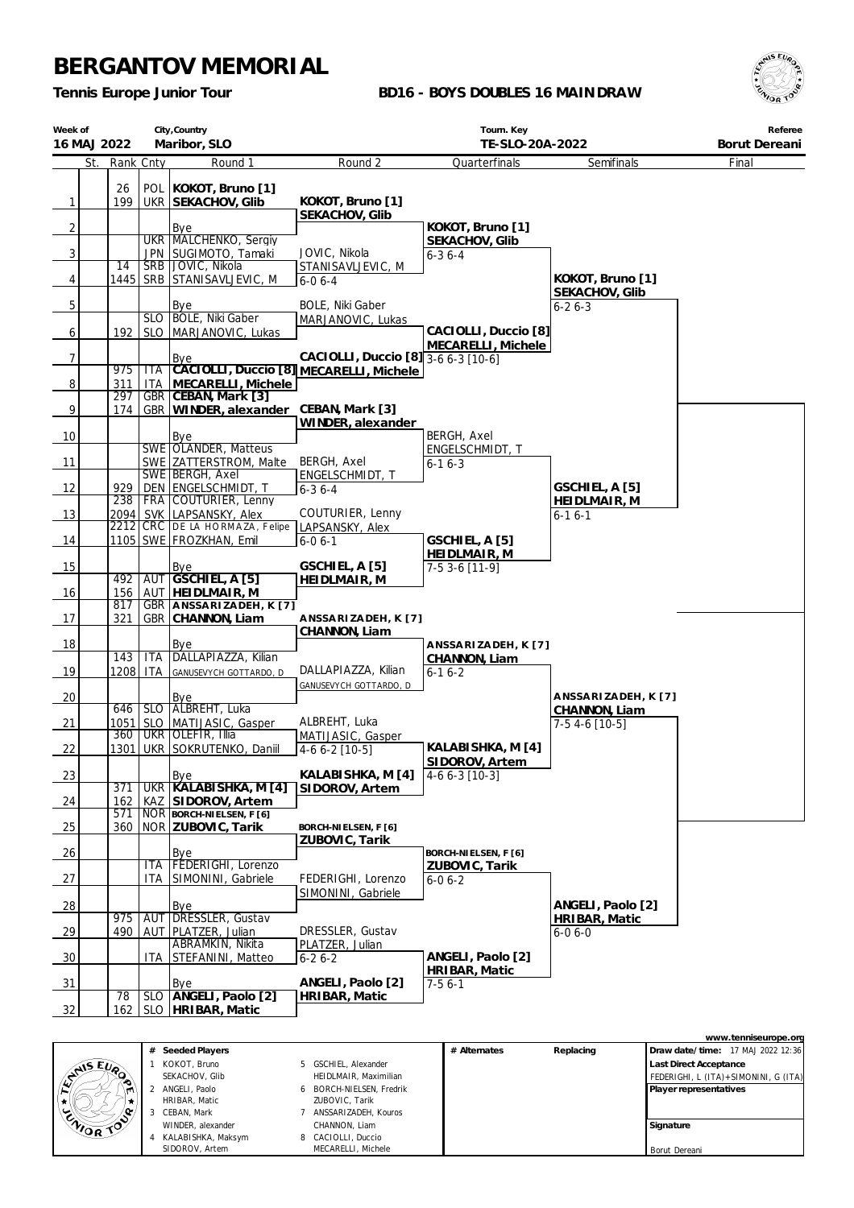*Tennis Europe Junior Tour*

### **BD16 - BOYS DOUBLES 16 MAINDRAW**



| Week of<br>16 MAJ 2022 | City, Country<br>Maribor, SLO |            |                                                            | Tourn. Key<br>TE-SLO-20A-2022                 |                                            |                                      | Referee<br>Borut Dereani |
|------------------------|-------------------------------|------------|------------------------------------------------------------|-----------------------------------------------|--------------------------------------------|--------------------------------------|--------------------------|
|                        | St. Rank Cnty                 |            | Round 1                                                    | Round 2                                       | Quarterfinals                              | Semifinals                           | Final                    |
| 1                      | 26<br>199                     |            | POL   KOKOT, Bruno [1]<br>UKR SEKACHOV, Glib               | KOKOT, Bruno [1]<br>SEKACHOV, Glib            |                                            |                                      |                          |
| $\overline{2}$         |                               |            | Bye<br>UKR MALCHENKO, Sergiy                               |                                               | KOKOT, Bruno [1]<br>SEKACHOV, Glib         |                                      |                          |
| 3                      | 14                            |            | JPN SUGIMOTO, Tamaki<br>SRB   JOVIC, Nikola                | JOVIC, Nikola<br>STANISAVLJEVIC, M            | $6 - 36 - 4$                               |                                      |                          |
| 4                      |                               |            | 1445   SRB   STANISAVLJEVIC, M                             | $6 - 06 - 4$                                  |                                            | KOKOT, Bruno [1]<br>SEKACHOV, Glib   |                          |
| 5                      |                               |            | Bye<br>SLO   BOLE, Niki Gaber                              | <b>BOLE, Niki Gaber</b><br>MARJANOVIC, Lukas  |                                            | $6 - 26 - 3$                         |                          |
| 6                      | 192                           |            | SLO   MARJANOVIC, Lukas                                    |                                               | CACIOLLI, Duccio [8]<br>MECARELLI, Michele |                                      |                          |
| $\overline{7}$         | 975                           | ITA        | Bye<br>CACIOLLI, Duccio [8] MECARELLI, Michele             | CACIOLLI, Duccio [8] 3-6 6-3 [10-6]           |                                            |                                      |                          |
| 8                      | 311<br>297                    | <b>ITA</b> | MECARELLI, Michele<br>GBR CEBAN, Mark [3]                  |                                               |                                            |                                      |                          |
| 9                      | 174                           |            | GBR   WINDER, alexander                                    | CEBAN, Mark [3]<br>WINDER, alexander          |                                            |                                      |                          |
| 10                     |                               |            | Bye<br>SWE OLANDER, Matteus                                |                                               | <b>BERGH, Axel</b><br>ENGELSCHMIDT, T      |                                      |                          |
| 11                     |                               |            | SWE ZATTERSTROM, Malte<br>SWE BERGH, Axel                  | BERGH, Axel                                   | $6 - 16 - 3$                               |                                      |                          |
| 12                     | 929<br>238                    |            | DEN ENGELSCHMIDT, T<br>FRA COUTURIER, Lenny                | ENGELSCHMIDT, T<br>$6 - 36 - 4$               |                                            | GSCHIEL, A [5]                       |                          |
| 13                     |                               |            | 2094 SVK LAPSANSKY, Alex<br>2212 CRC DE LA HORMAZA, Felipe | COUTURIER, Lenny<br>LAPSANSKY, Alex           |                                            | HEIDLMAIR, M<br>$6 - 16 - 1$         |                          |
| 14                     |                               |            | 1105 SWE FROZKHAN, Emil                                    | $6 - 06 - 1$                                  | GSCHIEL, A [5]                             |                                      |                          |
| 15                     | 492                           |            | Bye<br>AUT GSCHIEL, A [5]                                  | GSCHIEL, A [5]<br>HEIDLMAIR, M                | HEIDLMAIR, M<br>7-5 3-6 [11-9]             |                                      |                          |
| 16                     | 156<br>817                    |            | AUT HEIDLMAIR, M<br>GBR   ANSSARIZADEH, K [7]              |                                               |                                            |                                      |                          |
| 17                     | 321                           |            | GBR CHANNON, Liam                                          | ANSSARIZADEH, K [7]<br>CHANNON, Liam          |                                            |                                      |                          |
| 18                     | 143                           | <b>ITA</b> | Bye<br>DALLAPIAZZA, Kilian                                 |                                               | ANSSARIZADEH, K[7]<br>CHANNON, Liam        |                                      |                          |
| 19                     | 1208                          | <b>ITA</b> | GANUSEVYCH GOTTARDO, D                                     | DALLAPIAZZA, Kilian<br>GANUSEVYCH GOTTARDO, D | $6 - 16 - 2$                               |                                      |                          |
| 20                     | 646                           |            | Bye<br>SLO ALBREHT, Luka                                   |                                               |                                            | ANSSARIZADEH, K [7]<br>CHANNON, Liam |                          |
| 21                     | 1051<br>360                   |            | SLO MATIJASIC, Gasper<br>UKR OLEFIR, Illia                 | ALBREHT, Luka<br>MATIJASIC, Gasper            |                                            | 7-5 4-6 [10-5]                       |                          |
| 22                     |                               |            | 1301   UKR SOKRUTENKO, Daniil                              | 4-6 6-2 [10-5]                                | KALABISHKA, M [4]<br>SIDOROV, Artem        |                                      |                          |
| 23                     | 371                           |            | Bye<br>UKR KALABISHKA, M [4]                               | KALABISHKA, M [4]<br>SIDOROV, Artem           | $4-66-3$ [10-3]                            |                                      |                          |
| 24                     | 162<br>571                    | KAZ        | SIDOROV, Artem<br>NOR BORCH-NIELSEN, F [6]                 |                                               |                                            |                                      |                          |
| 25                     | 360                           |            | NOR ZUBOVIC, Tarik                                         | BORCH-NIELSEN, F [6]<br>ZUBOVIC, Tarik        |                                            |                                      |                          |
| 26                     |                               |            | Bye<br>ITA FEDERIGHI, Lorenzo                              |                                               | BORCH-NIELSEN, F [6]<br>ZUBOVIC, Tarik     |                                      |                          |
| 27                     |                               | ITA        | SIMONINI, Gabriele                                         | FEDERIGHI, Lorenzo<br>SIMONINI, Gabriele      | $6 - 06 - 2$                               |                                      |                          |
| $\frac{28}{ }$         | 975                           | <b>AUT</b> | Bye<br>DRESSLER, Gustav                                    |                                               |                                            | ANGELI, Paolo [2]<br>HRIBAR, Matic   |                          |
| <u>29</u>              | 490                           |            | AUT PLATZER, Julian<br>ABRAMKIN, Nikita                    | DRESSLER, Gustav<br>PLATZER, Julian           |                                            | $6 - 06 - 0$                         |                          |
| 30                     |                               | ITA        | STEFANINI, Matteo                                          | $6 - 26 - 2$                                  | ANGELI, Paolo [2]<br>HRIBAR, Matic         |                                      |                          |
| $\frac{31}{2}$         | 78                            |            | Bye<br>SLO ANGELI, Paolo [2]                               | ANGELI, Paolo [2]<br>HRIBAR, Matic            | $7-56-1$                                   |                                      |                          |
| 32                     |                               |            | 162   SLO   HRIBAR, Matic                                  |                                               |                                            |                                      |                          |